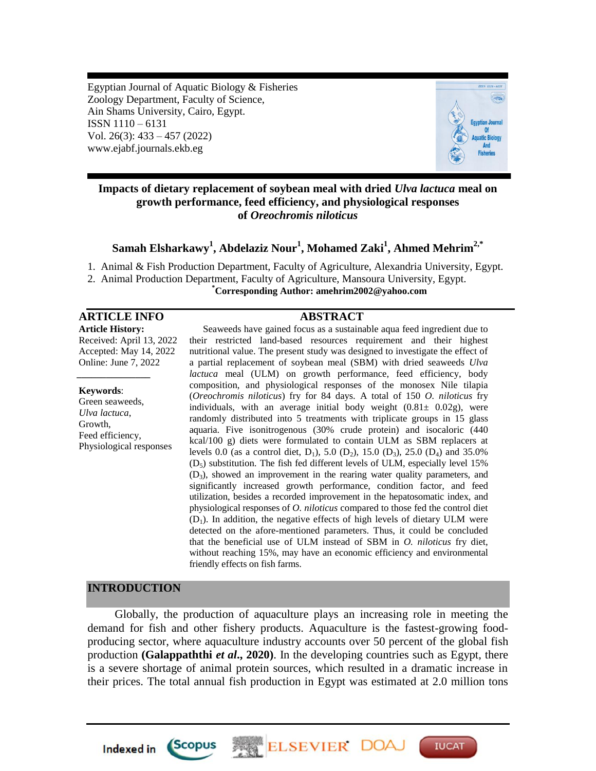Egyptian Journal of Aquatic Biology & Fisheries Zoology Department, Faculty of Science, Ain Shams University, Cairo, Egypt. ISSN 1110 – 6131 Vol. 26(3): 433 – 457 (2022) www.ejabf.journals.ekb.eg



# **Impacts of dietary replacement of soybean meal with dried** *Ulva lactuca* **meal on growth performance, feed efficiency, and physiological responses of** *Oreochromis niloticus*

# **Samah Elsharkawy<sup>1</sup> , Abdelaziz Nour<sup>1</sup> , Mohamed Zaki<sup>1</sup> , Ahmed Mehrim2,\***

1. Animal & Fish Production Department, Faculty of Agriculture, Alexandria University, Egypt.

2. Animal Production Department, Faculty of Agriculture, Mansoura University, Egypt.

## **\*Corresponding Author[: amehrim2002@yahoo.com](mailto:amehrim2002@yahoo.com)**

#### **ARTICLE INFO ABSTRACT**

**Article History:** Received: April 13, 2022 Accepted: May 14, 2022 Online: June 7, 2022

#### **Keywords**:

*\_\_\_\_\_\_\_\_\_\_\_\_\_\_\_*

Green seaweeds, *Ulva lactuca*, Growth, Feed efficiency, Physiological responses

Seaweeds have gained focus as a sustainable aqua feed ingredient due to their restricted land-based resources requirement and their highest nutritional value. The present study was designed to investigate the effect of a partial replacement of soybean meal (SBM) with dried seaweeds *Ulva lactuca* meal (ULM) on growth performance, feed efficiency, body composition, and physiological responses of the monosex Nile tilapia (*Oreochromis niloticus*) fry for 84 days. A total of 150 *O. niloticus* fry individuals, with an average initial body weight  $(0.81 \pm 0.02$ g), were randomly distributed into 5 treatments with triplicate groups in 15 glass aquaria. Five isonitrogenous (30% crude protein) and isocaloric (440 kcal/100 g) diets were formulated to contain ULM as SBM replacers at levels 0.0 (as a control diet,  $D_1$ ), 5.0 ( $D_2$ ), 15.0 ( $D_3$ ), 25.0 ( $D_4$ ) and 35.0%  $(D<sub>5</sub>)$  substitution. The fish fed different levels of ULM, especially level 15% (D3), showed an improvement in the rearing water quality parameters, and significantly increased growth performance, condition factor, and feed utilization, besides a recorded improvement in the hepatosomatic index, and physiological responses of *O. niloticus* compared to those fed the control diet  $(D_1)$ . In addition, the negative effects of high levels of dietary ULM were detected on the afore-mentioned parameters. Thus, it could be concluded that the beneficial use of ULM instead of SBM in *O. niloticus* fry diet, without reaching 15%, may have an economic efficiency and environmental friendly effects on fish farms.

## **INTRODUCTION**

**Indexed in** 

*Scopus* 

Globally, the production of aquaculture plays an increasing role in meeting the demand for fish and other fishery products. Aquaculture is the fastest-growing foodproducing sector, where aquaculture industry accounts over 50 percent of the global fish production **(Galappaththi** *et al***., 2020)**. In the developing countries such as Egypt, there is a severe shortage of animal protein sources, which resulted in a dramatic increase in their prices. The total annual fish production in Egypt was estimated at 2.0 million tons

ELSEVIER DO

**IUCAT**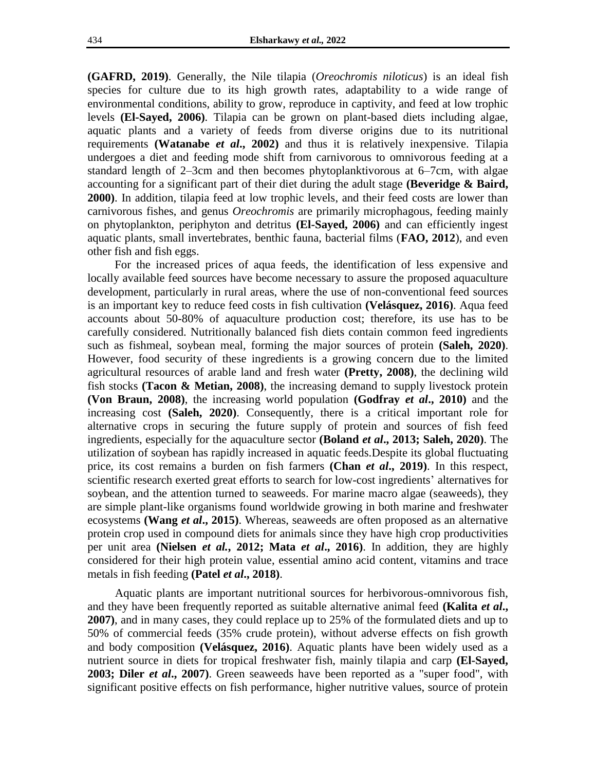**(GAFRD, 2019)**. Generally, the Nile tilapia (*Oreochromis niloticus*) is an ideal fish species for culture due to its high growth rates, adaptability to a wide range of environmental conditions, ability to grow, reproduce in captivity, and feed at low trophic levels **(El-Sayed, 2006)**. Tilapia can be grown on plant-based diets including algae, aquatic plants and a variety of feeds from diverse origins due to its nutritional requirements **(Watanabe** *et al***., 2002)** and thus it is relatively inexpensive. Tilapia undergoes a diet and feeding mode shift from carnivorous to omnivorous feeding at a standard length of 2–3cm and then becomes phytoplanktivorous at 6–7cm, with algae accounting for a significant part of their diet during the adult stage **(Beveridge & Baird, 2000)**. In addition, tilapia feed at low trophic levels, and their feed costs are lower than carnivorous fishes, and genus *Oreochromis* are primarily microphagous, feeding mainly on phytoplankton, periphyton and detritus **(El-Sayed, 2006)** and can efficiently ingest aquatic plants, small invertebrates, benthic fauna, bacterial films (**FAO, 2012**), and even other fish and fish eggs.

For the increased prices of aqua feeds, the identification of less expensive and locally available feed sources have become necessary to assure the proposed aquaculture development, particularly in rural areas, where the use of non-conventional feed sources is an important key to reduce feed costs in fish cultivation **(Velásquez, 2016)**. Aqua feed accounts about 50-80% of aquaculture production cost; therefore, its use has to be carefully considered. Nutritionally balanced fish diets contain common feed ingredients such as fishmeal, soybean meal, forming the major sources of protein **(Saleh, 2020)**. However, food security of these ingredients is a growing concern due to the limited agricultural resources of arable land and fresh water **(Pretty, 2008)**, the declining wild fish stocks **(Tacon & Metian, 2008)**, the increasing demand to supply livestock protein **(Von Braun, 2008)**, the increasing world population **(Godfray** *et al***., 2010)** and the increasing cost **(Saleh, 2020)**. Consequently, there is a critical important role for alternative crops in securing the future supply of protein and sources of fish feed ingredients, especially for the aquaculture sector **(Boland** *et al***., 2013; Saleh, 2020)**. The utilization of soybean has rapidly increased in aquatic feeds.Despite its global fluctuating price, its cost remains a burden on fish farmers **[\(Chan](https://www.sciencedirect.com/science/article/pii/S2211912418300439#!)** *et al***., 2019)**. In this respect, scientific research exerted great efforts to search for low-cost ingredients' alternatives for soybean, and the attention turned to seaweeds. For marine macro algae (seaweeds), they are simple plant-like organisms found worldwide growing in both marine and freshwater ecosystems **(Wang** *et al***., 2015)**. Whereas, seaweeds are often proposed as an alternative protein crop used in compound diets for animals since they have high crop productivities per unit area **(Nielsen** *et al.***, 2012; Mata** *et al***., 2016)**. In addition, they are highly considered for their high protein value, essential amino acid content, vitamins and trace metals in fish feeding **(Patel** *et al***., 2018)**.

Aquatic plants are important nutritional sources for herbivorous-omnivorous fish, and they have been frequently reported as suitable alternative animal feed **(Kalita** *et al***., 2007)**, and in many cases, they could replace up to 25% of the formulated diets and up to 50% of commercial feeds (35% crude protein), without adverse effects on fish growth and body composition **(Velásquez, 2016)**. Aquatic plants have been widely used as a nutrient source in diets for tropical freshwater fish, mainly tilapia and carp **(El-Sayed, 2003; Diler** *et al***., 2007)**. Green seaweeds have been reported as a "super food", with significant positive effects on fish performance, higher nutritive values, source of protein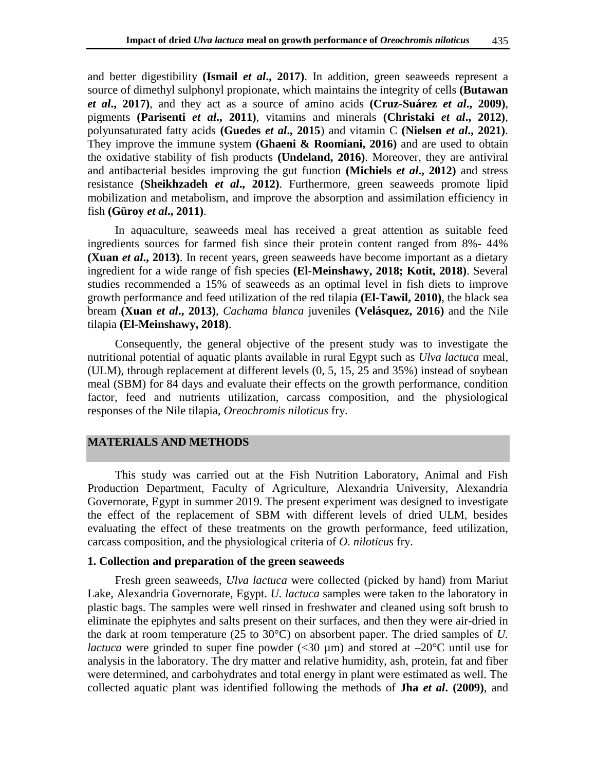and better digestibility **(Ismail** *et al***., 2017)**. In addition, green seaweeds represent a source of dimethyl sulphonyl propionate, which maintains the integrity of cells **[\(Butawan](https://www.ncbi.nlm.nih.gov/pubmed/?term=Butawan%20M%5BAuthor%5D&cauthor=true&cauthor_uid=28300758)** *et al***., 2017)**, and they act as a source of amino acids **(Cruz-Suárez** *et al***., 2009)**, pigments **(Parisenti** *et al***., 2011)**, vitamins and minerals **(Christaki** *et al***., 2012)**, polyunsaturated fatty acids **(Guedes** *et al***., 2015**) and vitamin C **[\(Nielsen](https://pubmed.ncbi.nlm.nih.gov/?term=Nielsen+CW&cauthor_id=33478115)** *et al***., 2021)**. They improve the immune system **(Ghaeni & Roomiani, 2016)** and are used to obtain the oxidative stability of fish products **(Undeland, 2016)**. Moreover, they are antiviral and antibacterial besides improving the gut function **(Michiels** *et al***., 2012)** and stress resistance **(Sheikhzadeh** *et al***., 2012)**. Furthermore, green seaweeds promote lipid mobilization and metabolism, and improve the absorption and assimilation efficiency in fish **(Güroy** *et al***., 2011)**.

In aquaculture, seaweeds meal has received a great attention as suitable feed ingredients sources for farmed fish since their protein content ranged from 8%- 44% **(Xuan** *et al.***, 2013)**. In recent years, green seaweeds have become important as a dietary ingredient for a wide range of fish species **(El-Meinshawy, 2018; Kotit, 2018)**. Several studies recommended a 15% of seaweeds as an optimal level in fish diets to improve growth performance and feed utilization of the red tilapia **(El-Tawil, 2010)**, the black sea bream **(Xuan** *et al***., 2013)**, *Cachama blanca* juveniles **(Velásquez, 2016)** and the Nile tilapia **(El-Meinshawy, 2018)**.

Consequently, the general objective of the present study was to investigate the nutritional potential of aquatic plants available in rural Egypt such as *Ulva lactuca* meal, (ULM), through replacement at different levels (0, 5, 15, 25 and 35%) instead of soybean meal (SBM) for 84 days and evaluate their effects on the growth performance, condition factor, feed and nutrients utilization, carcass composition, and the physiological responses of the Nile tilapia, *Oreochromis niloticus* fry.

#### **MATERIALS AND METHODS**

This study was carried out at the Fish Nutrition Laboratory, Animal and Fish Production Department, Faculty of Agriculture, Alexandria University, Alexandria Governorate, Egypt in summer 2019. The present experiment was designed to investigate the effect of the replacement of SBM with different levels of dried ULM, besides evaluating the effect of these treatments on the growth performance, feed utilization, carcass composition, and the physiological criteria of *O. niloticus* fry.

## **1. Collection and preparation of the green seaweeds**

Fresh green seaweeds, *Ulva lactuca* were collected (picked by hand) from Mariut Lake, Alexandria Governorate, Egypt. *U. lactuca* samples were taken to the laboratory in plastic bags. The samples were well rinsed in freshwater and cleaned using soft brush to eliminate the epiphytes and salts present on their surfaces, and then they were air-dried in the dark at room temperature (25 to 30°C) on absorbent paper. The dried samples of *U. lactuca* were grinded to super fine powder  $( $30 \mu m$ )$  and stored at  $-20^{\circ}$ C until use for analysis in the laboratory. The dry matter and relative humidity, ash, protein, fat and fiber were determined, and carbohydrates and total energy in plant were estimated as well. The collected aquatic plant was identified following the methods of **Jha** *et al***. (2009)**, and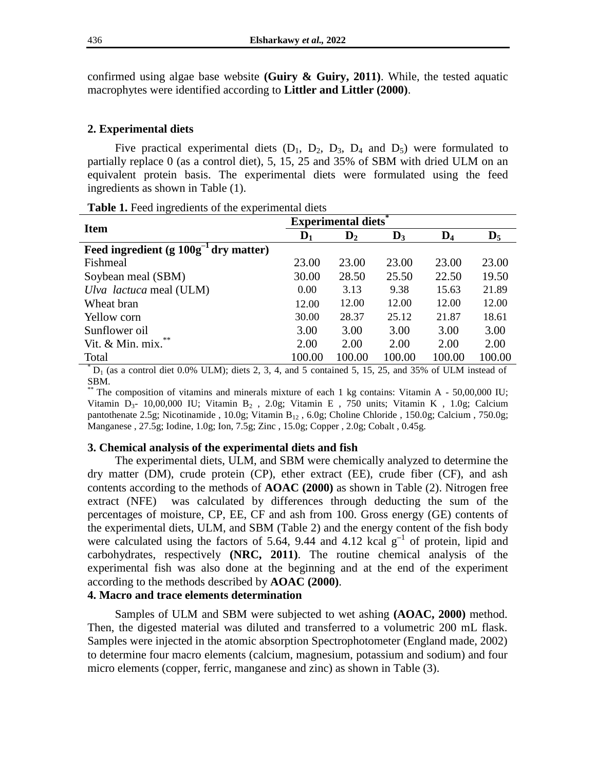confirmed using algae base website **(Guiry & Guiry, 2011)**. While, the tested aquatic macrophytes were identified according to **Littler and Littler (2000)**.

#### **2. Experimental diets**

Five practical experimental diets  $(D_1, D_2, D_3, D_4$  and  $D_5$ ) were formulated to partially replace 0 (as a control diet), 5, 15, 25 and 35% of SBM with dried ULM on an equivalent protein basis. The experimental diets were formulated using the feed ingredients as shown in Table (1).

| <b>Item</b>                                | <b>Experimental diets</b> |                |                |                |                |  |  |
|--------------------------------------------|---------------------------|----------------|----------------|----------------|----------------|--|--|
|                                            | $\mathbf{D}_1$            | $\mathbf{D}_2$ | $\mathbf{D}_3$ | $\mathbf{D}_4$ | $\mathbf{D}_5$ |  |  |
| Feed ingredient $(g 100g^{-1}$ dry matter) |                           |                |                |                |                |  |  |
| Fishmeal                                   | 23.00                     | 23.00          | 23.00          | 23.00          | 23.00          |  |  |
| Soybean meal (SBM)                         | 30.00                     | 28.50          | 25.50          | 22.50          | 19.50          |  |  |
| Ulva lactuca meal (ULM)                    | 0.00                      | 3.13           | 9.38           | 15.63          | 21.89          |  |  |
| Wheat bran                                 | 12.00                     | 12.00          | 12.00          | 12.00          | 12.00          |  |  |
| Yellow corn                                | 30.00                     | 28.37          | 25.12          | 21.87          | 18.61          |  |  |
| Sunflower oil                              | 3.00                      | 3.00           | 3.00           | 3.00           | 3.00           |  |  |
| Vit. & Min. mix.**                         | 2.00                      | 2.00           | 2.00           | 2.00           | 2.00           |  |  |
| Total                                      | 100.00                    | 100.00         | 100.00         | 100.00         | 100.00         |  |  |

**Table 1.** Feed ingredients of the experimental diets

 $D_1$  (as a control diet 0.0% ULM); diets 2, 3, 4, and 5 contained 5, 15, 25, and 35% of ULM instead of SBM.

The composition of vitamins and minerals mixture of each 1 kg contains: Vitamin A -  $50,00,000$  IU; Vitamin D<sub>3</sub>- 10,00,000 IU; Vitamin B<sub>2</sub>, 2.0g; Vitamin E, 750 units; Vitamin K, 1.0g; Calcium pantothenate 2.5g; Nicotinamide , 10.0g; Vitamin  $B_{12}$  , 6.0g; Choline Chloride , 150.0g; Calcium , 750.0g; Manganese , 27.5g; Iodine, 1.0g; Ion, 7.5g; Zinc , 15.0g; Copper , 2.0g; Cobalt , 0.45g.

#### **3. Chemical analysis of the experimental diets and fish**

The experimental diets, ULM, and SBM were chemically analyzed to determine the dry matter (DM), crude protein (CP), ether extract (EE), crude fiber (CF), and ash contents according to the methods of **AOAC (2000)** as shown in Table (2). Nitrogen free extract (NFE) was calculated by differences through deducting the sum of the percentages of moisture, CP, EE, CF and ash from 100. Gross energy (GE) contents of the experimental diets, ULM, and SBM (Table 2) and the energy content of the fish body were calculated using the factors of 5.64, 9.44 and 4.12 kcal g<sup>-1</sup> of protein, lipid and carbohydrates, respectively **(NRC, 2011)**. The routine chemical analysis of the experimental fish was also done at the beginning and at the end of the experiment according to the methods described by **AOAC (2000)**.

# **4. Macro and trace elements determination**

Samples of ULM and SBM were subjected to wet ashing **(AOAC, 2000)** method. Then, the digested material was diluted and transferred to a volumetric 200 mL flask. Samples were injected in the atomic absorption Spectrophotometer (England made, 2002) to determine four macro elements (calcium, magnesium, potassium and sodium) and four micro elements (copper, ferric, manganese and zinc) as shown in Table (3).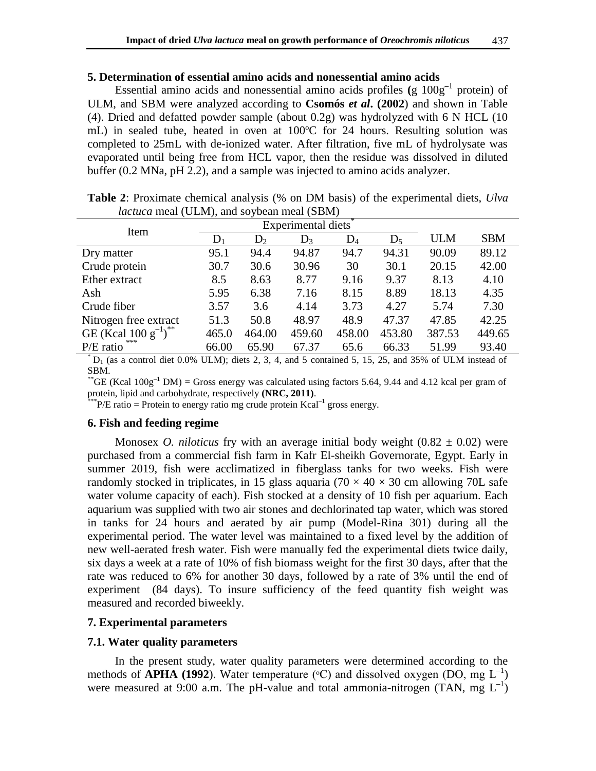#### **5. Determination of essential amino acids and nonessential amino acids**

Essential amino acids and nonessential amino acids profiles **(**g 100g**–**<sup>1</sup> protein) of ULM, and SBM were analyzed according to **Csomós** *et al***. (2002**) and shown in Table (4). Dried and defatted powder sample (about 0.2g) was hydrolyzed with 6 N HCL (10 mL) in sealed tube, heated in oven at 100ºC for 24 hours. Resulting solution was completed to 25mL with de-ionized water. After filtration, five mL of hydrolysate was evaporated until being free from HCL vapor, then the residue was dissolved in diluted buffer (0.2 MNa, pH 2.2), and a sample was injected to amino acids analyzer.

| Item                    | Experimental diets |        |        |        |        |        |            |
|-------------------------|--------------------|--------|--------|--------|--------|--------|------------|
|                         | $D_1$              | $D_2$  | $D_3$  | $D_4$  | $D_5$  | ULM    | <b>SBM</b> |
| Dry matter              | 95.1               | 94.4   | 94.87  | 94.7   | 94.31  | 90.09  | 89.12      |
| Crude protein           | 30.7               | 30.6   | 30.96  | 30     | 30.1   | 20.15  | 42.00      |
| Ether extract           | 8.5                | 8.63   | 8.77   | 9.16   | 9.37   | 8.13   | 4.10       |
| Ash                     | 5.95               | 6.38   | 7.16   | 8.15   | 8.89   | 18.13  | 4.35       |
| Crude fiber             | 3.57               | 3.6    | 4.14   | 3.73   | 4.27   | 5.74   | 7.30       |
| Nitrogen free extract   | 51.3               | 50.8   | 48.97  | 48.9   | 47.37  | 47.85  | 42.25      |
| GE (Kcal $100 g^{-1}$ ) | 465.0              | 464.00 | 459.60 | 458.00 | 453.80 | 387.53 | 449.65     |
| ***<br>$P/E$ ratio      | 66.00              | 65.90  | 67.37  | 65.6   | 66.33  | 51.99  | 93.40      |

**Table 2**: Proximate chemical analysis (% on DM basis) of the experimental diets, *Ulva lactuca* meal (ULM), and soybean meal (SBM)

 $*$  D<sub>1</sub> (as a control diet 0.0% ULM); diets 2, 3, 4, and 5 contained 5, 15, 25, and 35% of ULM instead of SBM.

<sup>\*\*</sup>GE (Kcal  $100g^{-1}$  DM) = Gross energy was calculated using factors 5.64, 9.44 and 4.12 kcal per gram of protein, lipid and carbohydrate, respectively **(NRC, 2011)**.

\*\*\*P/E ratio = Protein to energy ratio mg crude protein Kcal**–**<sup>1</sup> gross energy.

#### **6. Fish and feeding regime**

Monosex *O. niloticus* fry with an average initial body weight  $(0.82 \pm 0.02)$  were purchased from a commercial fish farm in Kafr El-sheikh Governorate, Egypt. Early in summer 2019, fish were acclimatized in fiberglass tanks for two weeks. Fish were randomly stocked in triplicates, in 15 glass aquaria ( $70 \times 40 \times 30$  cm allowing  $70L$  safe water volume capacity of each). Fish stocked at a density of 10 fish per aquarium. Each aquarium was supplied with two air stones and dechlorinated tap water, which was stored in tanks for 24 hours and aerated by air pump (Model-Rina 301) during all the experimental period. The water level was maintained to a fixed level by the addition of new well-aerated fresh water. Fish were manually fed the experimental diets twice daily, six days a week at a rate of 10% of fish biomass weight for the first 30 days, after that the rate was reduced to 6% for another 30 days, followed by a rate of 3% until the end of experiment (84 days). To insure sufficiency of the feed quantity fish weight was measured and recorded biweekly.

#### **7. Experimental parameters**

#### **7.1. Water quality parameters**

In the present study, water quality parameters were determined according to the methods of **APHA (1992**). Water temperature (°C) and dissolved oxygen (DO, mg L<sup>-1</sup>) were measured at 9:00 a.m. The pH-value and total ammonia-nitrogen (TAN, mg L<sup>-1</sup>)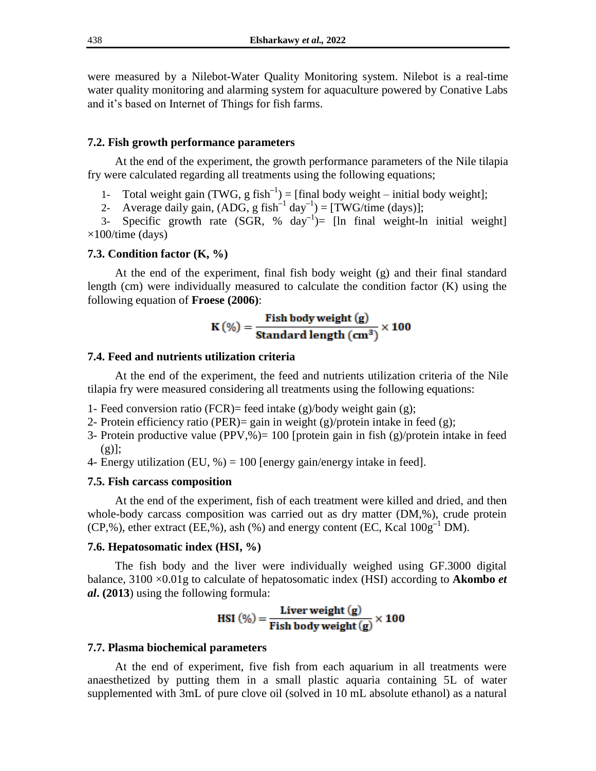were measured by a [Nilebot-Water Quality Monitoring system.](https://www.facebook.com/Nilebot/?__tn__=-UC*F) Nilebot is a real-time water quality monitoring and alarming system for aquaculture powered by Conative Labs and it's based on Internet of Things for fish farms.

#### **7.2. Fish growth performance parameters**

At the end of the experiment, the growth performance parameters of the Nile tilapia fry were calculated regarding all treatments using the following equations;

- 1- Total weight gain (TWG, g fish<sup>-1</sup>) = [final body weight initial body weight];
- 2- Average daily gain, (ADG, g fish**–**<sup>1</sup> day**–**<sup>1</sup> ) = [TWG/time (days)];

3- Specific growth rate (SGR, % day**–**<sup>1</sup> )= [ln final weight-ln initial weight]  $\times$ 100/time (days)

#### **7.3. Condition factor (K, %)**

At the end of the experiment, final fish body weight (g) and their final standard length (cm) were individually measured to calculate the condition factor (K) using the following equation of **Froese (2006)**:

$$
K(\%) = \frac{\text{Fish body weight (g)}}{\text{Standard length (cm}^3)} \times 100
$$

## **7.4. Feed and nutrients utilization criteria**

At the end of the experiment, the feed and nutrients utilization criteria of the Nile tilapia fry were measured considering all treatments using the following equations:

- 1- Feed conversion ratio (FCR)= feed intake (g)/body weight gain (g);
- 2- Protein efficiency ratio (PER) = gain in weight (g)/protein intake in feed (g);
- 3- Protein productive value (PPV,%)=  $100$  [protein gain in fish (g)/protein intake in feed  $(g)$ ];
- 4- Energy utilization (EU,  $\%$ ) = 100 [energy gain/energy intake in feed].

## **7.5. Fish carcass composition**

At the end of the experiment, fish of each treatment were killed and dried, and then whole-body carcass composition was carried out as dry matter (DM,%), crude protein (CP,%), ether extract (EE,%), ash (%) and energy content (EC, Kcal 100g**–**<sup>1</sup> DM).

#### **7.6. Hepatosomatic index (HSI, %)**

The fish body and the liver were individually weighed using GF.3000 digital balance, 3100 ×0.01g to calculate of hepatosomatic index (HSI) according to **Akombo** *et al***. (2013**) using the following formula:

$$
HSI\ (\%) = \frac{\text{Liver weight}\ (g)}{\text{Fish body weight}\ (g)} \times 100
$$

#### **7.7. Plasma biochemical parameters**

At the end of experiment, five fish from each aquarium in all treatments were anaesthetized by putting them in a small plastic aquaria containing 5L of water supplemented with 3mL of pure clove oil (solved in 10 mL absolute ethanol) as a natural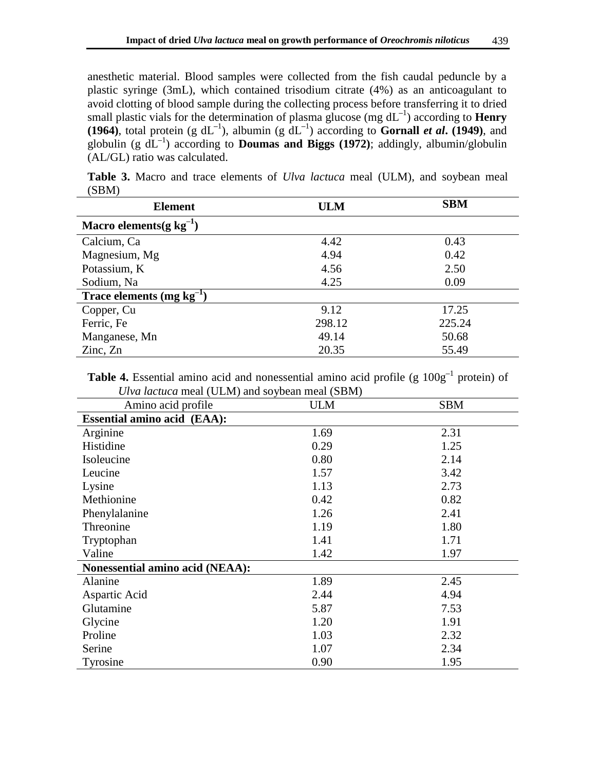anesthetic material. Blood samples were collected from the fish caudal peduncle by a plastic syringe (3mL), which contained trisodium citrate (4%) as an anticoagulant to avoid clotting of blood sample during the collecting process before transferring it to dried small plastic vials for the determination of plasma glucose (mg dL<sup>-1</sup>) according to **Henry (1964)**, total protein (g  $dL^{-1}$ ), albumin (g  $dL^{-1}$ ) according to **Gornall** *et al***. (1949**), and globulin (g dL**–**<sup>1</sup> ) according to **Doumas and Biggs (1972)**; addingly, albumin/globulin (AL/GL) ratio was calculated.

| <b>Element</b>                 | <b>ULM</b> | <b>SBM</b> |
|--------------------------------|------------|------------|
| Macro elements (g $kg^{-1}$ )  |            |            |
| Calcium, Ca                    | 4.42       | 0.43       |
| Magnesium, Mg                  | 4.94       | 0.42       |
| Potassium, K                   | 4.56       | 2.50       |
| Sodium, Na                     | 4.25       | 0.09       |
| Trace elements (mg $kg^{-1}$ ) |            |            |
| Copper, Cu                     | 9.12       | 17.25      |
| Ferric, Fe                     | 298.12     | 225.24     |
| Manganese, Mn                  | 49.14      | 50.68      |
| Zinc, Zn                       | 20.35      | 55.49      |

**Table 3.** Macro and trace elements of *Ulva lactuca* meal (ULM), and soybean meal (SBM)

**Table 4.** Essential amino acid and nonessential amino acid profile (g  $100g^{-1}$  protein) of *Ulva lactuca* meal (ULM) and soybean meal (SBM)

| Amino acid profile                 | <b>ULM</b> | <b>SBM</b> |
|------------------------------------|------------|------------|
| <b>Essential amino acid (EAA):</b> |            |            |
| Arginine                           | 1.69       | 2.31       |
| Histidine                          | 0.29       | 1.25       |
| Isoleucine                         | 0.80       | 2.14       |
| Leucine                            | 1.57       | 3.42       |
| Lysine                             | 1.13       | 2.73       |
| Methionine                         | 0.42       | 0.82       |
| Phenylalanine                      | 1.26       | 2.41       |
| Threonine                          | 1.19       | 1.80       |
| Tryptophan                         | 1.41       | 1.71       |
| Valine                             | 1.42       | 1.97       |
| Nonessential amino acid (NEAA):    |            |            |
| Alanine                            | 1.89       | 2.45       |
| Aspartic Acid                      | 2.44       | 4.94       |
| Glutamine                          | 5.87       | 7.53       |
| Glycine                            | 1.20       | 1.91       |
| Proline                            | 1.03       | 2.32       |
| Serine                             | 1.07       | 2.34       |
| Tyrosine                           | 0.90       | 1.95       |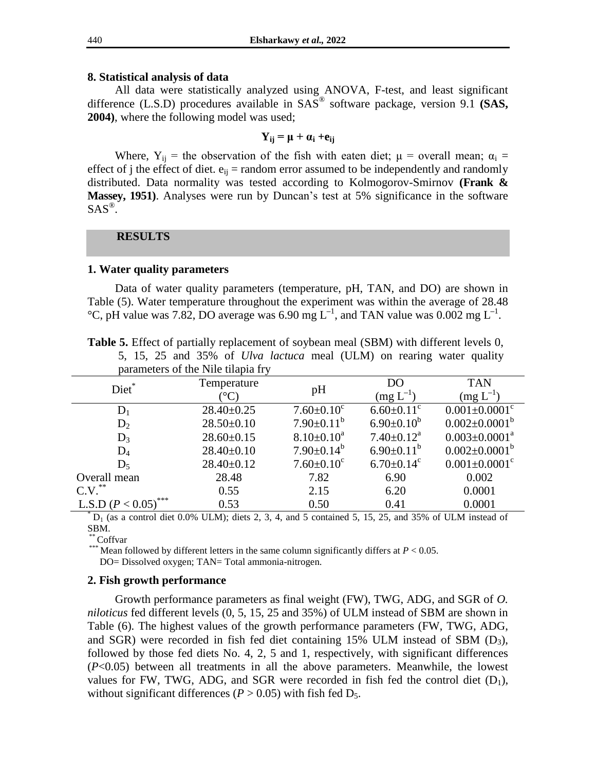#### **8. Statistical analysis of data**

All data were statistically analyzed using ANOVA, F-test, and least significant difference (L.S.D) procedures available in SAS® software package, version 9.1 **(SAS, 2004)**, where the following model was used;

# $Y_{ii} = \mu + \alpha_i + e_{ii}$

Where,  $Y_{ii}$  = the observation of the fish with eaten diet;  $\mu$  = overall mean;  $\alpha_i$  = effect of j the effect of diet.  $e_{ij}$  = random error assumed to be independently and randomly distributed. Data normality was tested according to Kolmogorov-Smirnov **(Frank & Massey, 1951)**. Analyses were run by Duncan's test at 5% significance in the software  $SAS^{\circledR}$ .

#### **RESULTS**

#### **1. Water quality parameters**

Data of water quality parameters (temperature, pH, TAN, and DO) are shown in Table (5). Water temperature throughout the experiment was within the average of 28.48  $^{\circ}$ C, pH value was 7.82, DO average was 6.90 mg L<sup>-1</sup>, and TAN value was 0.002 mg L<sup>-1</sup>.

**Table 5.** Effect of partially replacement of soybean meal (SBM) with different levels 0, 5, 15, 25 and 35% of *Ulva lactuca* meal (ULM) on rearing water quality parameters of the Nile tilapia fry

|                             | раганісість от ше тупе піаріа п у |                   |                              |                                 |
|-----------------------------|-----------------------------------|-------------------|------------------------------|---------------------------------|
| Diet*                       | Temperature                       | pH                | D <sub>O</sub>               | <b>TAN</b>                      |
|                             | $^{\circ}\mathrm{C}$              |                   | $(mg L^{-1})$                | $(mg L^{-1})$                   |
| $D_1$                       | $28.40 \pm 0.25$                  | $7.60 \pm 0.10^c$ | $6.60 \pm 0.11$ <sup>c</sup> | $0.001 \pm 0.0001$ <sup>c</sup> |
| $D_2$                       | $28.50+0.10$                      | $7.90 \pm 0.11^b$ | $6.90 \pm 0.10^b$            | $0.002 \pm 0.0001^b$            |
| $D_3$                       | $28.60 \pm 0.15$                  | $8.10 \pm 0.10^a$ | $7.40 \pm 0.12^a$            | $0.003 \pm 0.0001^a$            |
| $D_4$                       | $28.40 \pm 0.10$                  | $7.90 \pm 0.14^b$ | $6.90\pm0.11^{b}$            | $0.002 \pm 0.0001^b$            |
| $D_5$                       | $28.40 \pm 0.12$                  | $7.60 \pm 0.10^c$ | $6.70 \pm 0.14$ <sup>c</sup> | $0.001 \pm 0.0001$ <sup>c</sup> |
| Overall mean                | 28.48                             | 7.82              | 6.90                         | 0.002                           |
| **<br>C.V.                  | 0.55                              | 2.15              | 6.20                         | 0.0001                          |
| ***<br>L.S.D ( $P < 0.05$ ) | 0.53                              | 0.50              | 0.41                         | 0.0001                          |

 $*$  D<sub>1</sub> (as a control diet 0.0% ULM); diets 2, 3, 4, and 5 contained 5, 15, 25, and 35% of ULM instead of SBM.

<sup>\*</sup> Coffvar

\*\*\* Mean followed by different letters in the same column significantly differs at  $P < 0.05$ . DO= Dissolved oxygen; TAN= Total ammonia-nitrogen.

#### **2. Fish growth performance**

Growth performance parameters as final weight (FW), TWG, ADG, and SGR of *O. niloticus* fed different levels (0, 5, 15, 25 and 35%) of ULM instead of SBM are shown in Table (6). The highest values of the growth performance parameters (FW, TWG, ADG, and SGR) were recorded in fish fed diet containing 15% ULM instead of SBM  $(D_3)$ , followed by those fed diets No. 4, 2, 5 and 1, respectively, with significant differences (*P*<0.05) between all treatments in all the above parameters. Meanwhile, the lowest values for FW, TWG, ADG, and SGR were recorded in fish fed the control diet  $(D_1)$ , without significant differences ( $P > 0.05$ ) with fish fed  $D_5$ .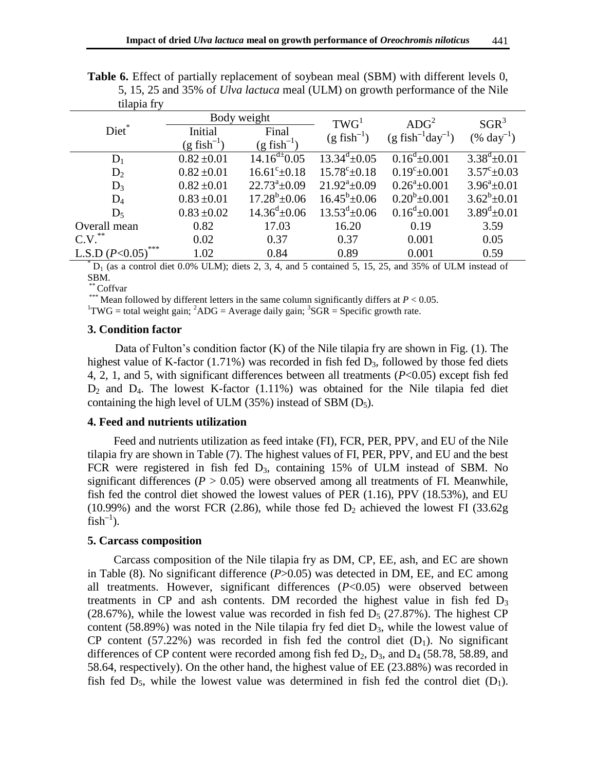|                         |                           | Body weight               | TWG <sup>1</sup>            | ADC <sup>2</sup>                            | $SGR^3$                 |  |
|-------------------------|---------------------------|---------------------------|-----------------------------|---------------------------------------------|-------------------------|--|
| Diet*                   | Initial                   | Final                     | $(g$ fish <sup>-1</sup> )   | $(g$ fish <sup>-1</sup> day <sup>-1</sup> ) | $(\% \ day^{-1})$       |  |
|                         | $(g$ fish <sup>-1</sup> ) | $(g$ fish <sup>-1</sup> ) |                             |                                             |                         |  |
| $D_1$                   | $0.82 \pm 0.01$           | $14.16^{d+0.05}$          | $13.34^{\mathrm{d}}\pm0.05$ | $0.16^d \pm 0.001$                          | $3.38^d \pm 0.01$       |  |
| $D_2$                   | $0.82 \pm 0.01$           | $16.61^{\circ}$ ±0.18     | $15.78^{\circ} \pm 0.18$    | $0.19^{\circ}$ ±0.001                       | $3.57^{\circ} \pm 0.03$ |  |
| $D_3$                   | $0.82 \pm 0.01$           | $22.73^{\circ}$ ±0.09     | $21.92^a \pm 0.09$          | $0.26^a \pm 0.001$                          | $3.96^a \pm 0.01$       |  |
| $D_4$                   | $0.83 \pm 0.01$           | $17.28^b \pm 0.06$        | $16.45^{\circ}$ ±0.06       | $0.20^b \pm 0.001$                          | $3.62^b \pm 0.01$       |  |
| $D_5$                   | $0.83 \pm 0.02$           | $14.36^{\rm d} \pm 0.06$  | $13.53^{\text{d}}\pm 0.06$  | $0.16^d \pm 0.001$                          | $3.89^{\rm d} \pm 0.01$ |  |
| Overall mean            | 0.82                      | 17.03                     | 16.20                       | 0.19                                        | 3.59                    |  |
| $C.V.^{**}$             | 0.02                      | 0.37                      | 0.37                        | 0.001                                       | 0.05                    |  |
| ***<br>L.S.D $(P<0.05)$ | 1.02                      | 0.84                      | 0.89                        | 0.001                                       | 0.59                    |  |

**Table 6.** Effect of partially replacement of soybean meal (SBM) with different levels 0, 5, 15, 25 and 35% of *Ulva lactuca* meal (ULM) on growth performance of the Nile tilapia fry

 $D_1$  (as a control diet 0.0% ULM); diets 2, 3, 4, and 5 contained 5, 15, 25, and 35% of ULM instead of SBM.

\* Coffvar

<sup>\*\*\*</sup> Mean followed by different letters in the same column significantly differs at  $P < 0.05$ .

<sup>1</sup>TWG = total weight gain; <sup>2</sup>ADG = Average daily gain; <sup>3</sup>SGR = Specific growth rate.

# **3. Condition factor**

Data of Fulton's condition factor (K) of the Nile tilapia fry are shown in Fig. (1). The highest value of K-factor (1.71%) was recorded in fish fed  $D_3$ , followed by those fed diets 4, 2, 1, and 5, with significant differences between all treatments (*P*<0.05) except fish fed  $D_2$  and  $D_4$ . The lowest K-factor (1.11%) was obtained for the Nile tilapia fed diet containing the high level of ULM  $(35\%)$  instead of SBM  $(D_5)$ .

# **4. Feed and nutrients utilization**

Feed and nutrients utilization as feed intake (FI), FCR, PER, PPV, and EU of the Nile tilapia fry are shown in Table (7). The highest values of FI, PER, PPV, and EU and the best FCR were registered in fish fed D3, containing 15% of ULM instead of SBM. No significant differences ( $P > 0.05$ ) were observed among all treatments of FI. Meanwhile, fish fed the control diet showed the lowest values of PER (1.16), PPV (18.53%), and EU (10.99%) and the worst FCR (2.86), while those fed  $D_2$  achieved the lowest FI (33.62g)  $\text{fish}^{-1}$ ).

# **5. Carcass composition**

Carcass composition of the Nile tilapia fry as DM, CP, EE, ash, and EC are shown in Table (8). No significant difference (*P*>0.05) was detected in DM, EE, and EC among all treatments. However, significant differences (*P*<0.05) were observed between treatments in CP and ash contents. DM recorded the highest value in fish fed  $D_3$ (28.67%), while the lowest value was recorded in fish fed  $D_5$  (27.87%). The highest CP content (58.89%) was noted in the Nile tilapia fry fed diet  $D_3$ , while the lowest value of CP content (57.22%) was recorded in fish fed the control diet  $(D_1)$ . No significant differences of CP content were recorded among fish fed  $D_2$ ,  $D_3$ , and  $D_4$  (58.78, 58.89, and 58.64, respectively). On the other hand, the highest value of EE (23.88%) was recorded in fish fed  $D_5$ , while the lowest value was determined in fish fed the control diet  $(D_1)$ .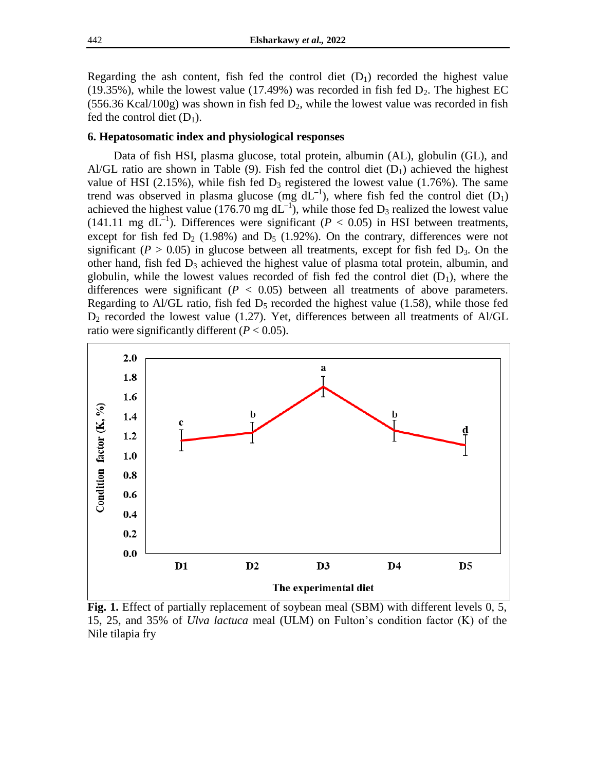Regarding the ash content, fish fed the control diet  $(D_1)$  recorded the highest value (19.35%), while the lowest value (17.49%) was recorded in fish fed  $D_2$ . The highest EC (556.36 Kcal/100g) was shown in fish fed  $D_2$ , while the lowest value was recorded in fish fed the control diet  $(D_1)$ .

## **6. Hepatosomatic index and physiological responses**

Data of fish HSI, plasma glucose, total protein, albumin (AL), globulin (GL), and Al/GL ratio are shown in Table (9). Fish fed the control diet  $(D_1)$  achieved the highest value of HSI (2.15%), while fish fed  $D_3$  registered the lowest value (1.76%). The same trend was observed in plasma glucose (mg  $dL^{-1}$ ), where fish fed the control diet (D<sub>1</sub>) achieved the highest value (176.70 mg  $dL^{-1}$ ), while those fed  $D_3$  realized the lowest value (141.11 mg  $dL^{-1}$ ). Differences were significant ( $P < 0.05$ ) in HSI between treatments, except for fish fed  $D_2$  (1.98%) and  $D_5$  (1.92%). On the contrary, differences were not significant ( $P > 0.05$ ) in glucose between all treatments, except for fish fed  $D_3$ . On the other hand, fish fed  $D_3$  achieved the highest value of plasma total protein, albumin, and globulin, while the lowest values recorded of fish fed the control diet  $(D_1)$ , where the differences were significant  $(P < 0.05)$  between all treatments of above parameters. Regarding to Al/GL ratio, fish fed  $D_5$  recorded the highest value (1.58), while those fed  $D_2$  recorded the lowest value (1.27). Yet, differences between all treatments of Al/GL ratio were significantly different  $(P < 0.05)$ .



**Fig. 1.** Effect of partially replacement of soybean meal (SBM) with different levels 0, 5, 15, 25, and 35% of *Ulva lactuca* meal (ULM) on Fulton's condition factor (K) of the Nile tilapia fry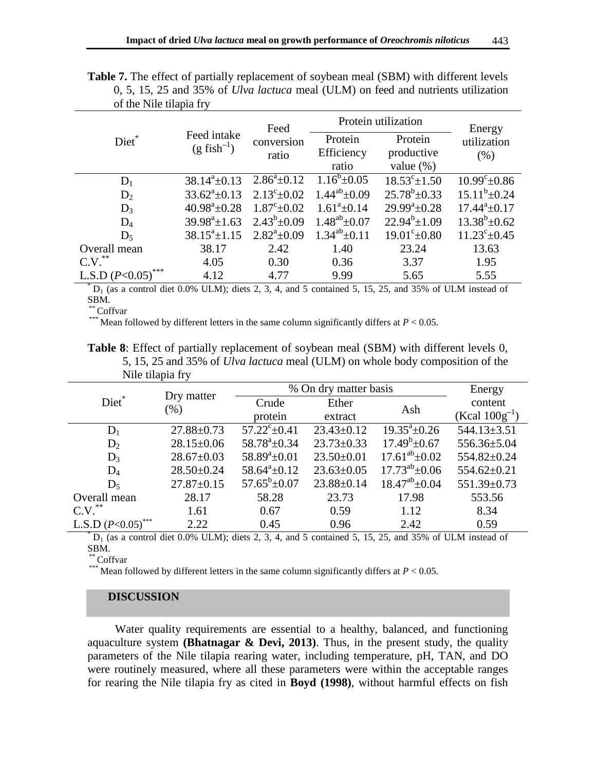|                                                                          |                    | Feed                           | Protein utilization                   | Energy                   |                       |
|--------------------------------------------------------------------------|--------------------|--------------------------------|---------------------------------------|--------------------------|-----------------------|
| Feed intake<br>Diet*<br>conversion<br>$(g$ fish <sup>-1</sup> )<br>ratio |                    | Protein<br>Efficiency<br>ratio | Protein<br>productive<br>value $(\%)$ | utilization<br>(% )      |                       |
| $D_1$                                                                    | $38.14^a \pm 0.13$ | $2.86^a \pm 0.12$              | $1.16^b \pm 0.05$                     | $18.53^{\circ} \pm 1.50$ | $10.99^{\circ}$ ±0.86 |
| $D_2$                                                                    | $33.62^a \pm 0.13$ | $2.13^{\circ}$ ±0.02           | $1.44^{ab}$ + 0.09                    | $25.78^b \pm 0.33$       | $15.11^b \pm 0.24$    |
| $D_3$                                                                    | $40.98^a \pm 0.28$ | $1.87^{\circ}$ ± 0.02          | $1.61^a \pm 0.14$                     | $29.99^a \pm 0.28$       | $17.44^a \pm 0.17$    |
| $D_4$                                                                    | $39.98^a \pm 1.63$ | $2.43^b \pm 0.09$              | $1.48^{ab}$ ± 0.07                    | $22.94^b \pm 1.09$       | $13.38^b \pm 0.62$    |
| $D_5$                                                                    | $38.15^a \pm 1.15$ | $2.82^a \pm 0.09$              | $1.34^{ab}$ + 0.11                    | $19.01^{\circ}$ ±0.80    | $11.23^{\circ}$ ±0.45 |
| Overall mean                                                             | 38.17              | 2.42                           | 1.40                                  | 23.24                    | 13.63                 |
| C.V.                                                                     | 4.05               | 0.30                           | 0.36                                  | 3.37                     | 1.95                  |
| L.S.D $(P<0.05)$                                                         | 4.12               | 4.77                           | 9.99                                  | 5.65                     | 5.55                  |

Table 7. The effect of partially replacement of soybean meal (SBM) with different levels 0, 5, 15, 25 and 35% of *Ulva lactuca* meal (ULM) on feed and nutrients utilization of the Nile tilapia fry

 ${}^*D_1$  (as a control diet 0.0% ULM); diets 2, 3, 4, and 5 contained 5, 15, 25, and 35% of ULM instead of SBM.

\* Coffvar

\*\*\* Mean followed by different letters in the same column significantly differs at  $P < 0.05$ .

|                  | <b>Table 8:</b> Effect of partially replacement of soybean meal (SBM) with different levels 0, |  |
|------------------|------------------------------------------------------------------------------------------------|--|
|                  | 5, 15, 25 and 35% of <i>Ulva lactuca</i> meal (ULM) on whole body composition of the           |  |
| Nile tilapia fry |                                                                                                |  |

|                               |                      | % On dry matter basis    | Energy           |                       |                    |
|-------------------------------|----------------------|--------------------------|------------------|-----------------------|--------------------|
| Diet*                         | Dry matter<br>$(\%)$ | Crude                    | Ether            | Ash                   | content            |
|                               |                      | protein                  | extract          |                       | $(Kcal 100g^{-1})$ |
| $D_1$                         | $27.88 \pm 0.73$     | $57.22^{\circ} \pm 0.41$ | $23.43 \pm 0.12$ | $19.35^a \pm 0.26$    | 544.13±3.51        |
| $D_2$                         | $28.15 \pm 0.06$     | $58.78^a \pm 0.34$       | $23.73 \pm 0.33$ | $17.49^b \pm 0.67$    | 556.36±5.04        |
| $D_3$                         | $28.67 \pm 0.03$     | $58.89^a \pm 0.01$       | $23.50 \pm 0.01$ | $17.61^{ab} \pm 0.02$ | 554.82±0.24        |
| $D_4$                         | $28.50 \pm 0.24$     | $58.64^a \pm 0.12$       | $23.63 \pm 0.05$ | $17.73^{ab} \pm 0.06$ | $554.62 \pm 0.21$  |
| $D_5$                         | $27.87 \pm 0.15$     | $57.65^b \pm 0.07$       | $23.88 \pm 0.14$ | $18.47^{ab} \pm 0.04$ | 551.39±0.73        |
| Overall mean                  | 28.17                | 58.28                    | 23.73            | 17.98                 | 553.56             |
| $C.V.^{**}$                   | 1.61                 | 0.67                     | 0.59             | 1.12                  | 8.34               |
| L.S.D $(P<0.05)$ <sup>*</sup> | 2.22                 | 0.45                     | 0.96             | 2.42                  | 0.59               |

 $D_1$  (as a control diet 0.0% ULM); diets 2, 3, 4, and 5 contained 5, 15, 25, and 35% of ULM instead of SBM.

Coffvar

<sup>\*\*\*</sup> Mean followed by different letters in the same column significantly differs at  $P < 0.05$ .

## **DISCUSSION**

Water quality requirements are essential to a healthy, balanced, and functioning aquaculture system **(Bhatnagar & Devi, 2013)**. Thus, in the present study, the quality parameters of the Nile tilapia rearing water, including temperature, pH, TAN, and DO were routinely measured, where all these parameters were within the acceptable ranges for rearing the Nile tilapia fry as cited in **Boyd (1998)**, without harmful effects on fish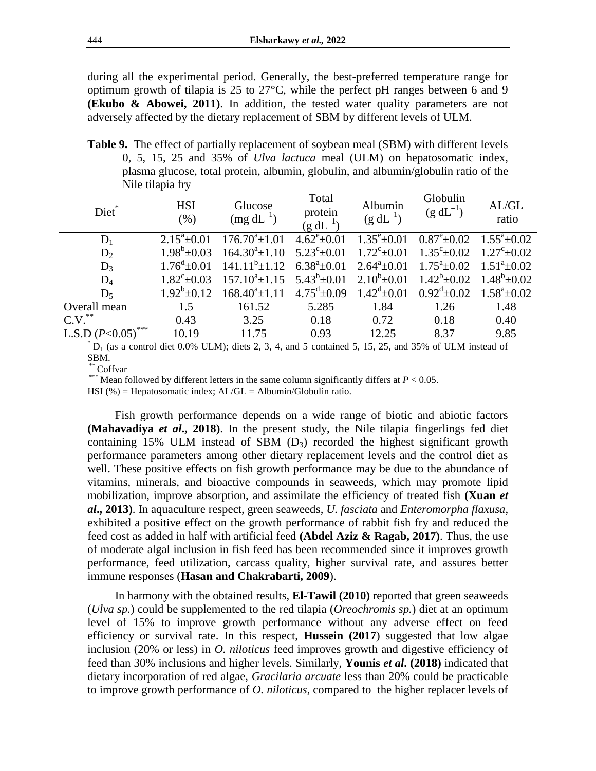during all the experimental period. Generally, the best-preferred temperature range for optimum growth of tilapia is 25 to 27°C, while the perfect pH ranges between 6 and 9 **(Ekubo & Abowei, 2011)**. In addition, the tested water quality parameters are not adversely affected by the dietary replacement of SBM by different levels of ULM.

**Table 9.** The effect of partially replacement of soybean meal (SBM) with different levels 0, 5, 15, 25 and 35% of *Ulva lactuca* meal (ULM) on hepatosomatic index, plasma glucose, total protein, albumin, globulin, and albumin/globulin ratio of the Nile tilapia fry

| Diet*            | <b>HSI</b><br>(% )    | Glucose<br>$(mg dL^{-1})$ | Total<br>protein<br>$(g \, dL^{-1})$ | Albumin<br>$(g dL^{-1})$     | Globulin<br>$(g dL^{-1})$ | AL/GL<br>ratio        |
|------------------|-----------------------|---------------------------|--------------------------------------|------------------------------|---------------------------|-----------------------|
| $\rm D_1$        | $2.15^a \pm 0.01$     | $176.70^a \pm 1.01$       | $4.62^{\circ}$ ±0.01                 | $1.35^{\rm e}{\pm}0.01$      | $0.87^{\rm e}{\pm}0.02$   | $1.55^a \pm 0.02$     |
| $D_2$            | $1.98^b \pm 0.03$     | $164.30^a \pm 1.10$       | $5.23^{\circ}$ ±0.01                 | $1.72^{\circ}$ ±0.01         | $1.35^{\circ}$ ± 0.02     | $1.27^{\circ}$ + 0.02 |
| $D_3$            | $1.76^{\circ}$ ± 0.01 | $141.11^{b} \pm 1.12$     | $6.38^a \pm 0.01$                    | $2.64^a \pm 0.01$            | $1.75^{\circ}$ ±0.02      | $1.51^a \pm 0.02$     |
| $D_4$            | $1.82^{\circ}$ ± 0.03 | $157.10^a \pm 1.15$       | $5.43^b \pm 0.01$                    | $2.10^{b} \pm 0.01$          | $1.42^b \pm 0.02$         | $1.48^b \pm 0.02$     |
| $D_5$            | $1.92^b + 0.12$       | $168.40^a \pm 1.11$       | $4.75^{\rm d}$ ±0.09                 | $1.42^{\mathrm{d}} \pm 0.01$ | $0.92^{\rm d}$ + 0.02     | $1.58^a \pm 0.02$     |
| Overall mean     | 1.5                   | 161.52                    | 5.285                                | 1.84                         | 1.26                      | 1.48                  |
| **<br>C.V.       | 0.43                  | 3.25                      | 0.18                                 | 0.72                         | 0.18                      | 0.40                  |
| L.S.D $(P<0.05)$ | 10.19                 | 11.75                     | 0.93                                 | 12.25                        | 8.37                      | 9.85                  |

 $*$  D<sub>1</sub> (as a control diet 0.0% ULM); diets 2, 3, 4, and 5 contained 5, 15, 25, and 35% of ULM instead of SBM.

\* Coffvar

<sup>\*\*\*</sup> Mean followed by different letters in the same column significantly differs at  $P < 0.05$ .

HSI (%) = Hepatosomatic index;  $AL/GL = Albumin/Globulin ratio$ .

Fish growth performance depends on a wide range of biotic and abiotic factors **(Mahavadiya** *et al***., 2018)**. In the present study, the Nile tilapia fingerlings fed diet containing 15% ULM instead of SBM  $(D_3)$  recorded the highest significant growth performance parameters among other dietary replacement levels and the control diet as well. These positive effects on fish growth performance may be due to the abundance of vitamins, minerals, and bioactive compounds in seaweeds, which may promote lipid mobilization, improve absorption, and assimilate the efficiency of treated fish **(Xuan** *et al***., 2013)**. In aquaculture respect, green seaweeds, *U. fasciata* and *Enteromorpha flaxusa*, exhibited a positive effect on the growth performance of rabbit fish fry and reduced the feed cost as added in half with artificial feed **(Abdel Aziz & Ragab, 2017)**. Thus, the use of moderate algal inclusion in fish feed has been recommended since it improves growth performance, feed utilization, carcass quality, higher survival rate, and assures better immune responses (**Hasan and Chakrabarti, 2009**).

In harmony with the obtained results, **El-Tawil (2010)** reported that green seaweeds (*Ulva sp.*) could be supplemented to the red tilapia (*Oreochromis sp.*) diet at an optimum level of 15% to improve growth performance without any adverse effect on feed efficiency or survival rate. In this respect, **Hussein (2017**) suggested that low algae inclusion (20% or less) in *O. niloticus* feed improves growth and digestive efficiency of feed than 30% inclusions and higher levels. Similarly, **Younis** *et al***. (2018)** indicated that dietary incorporation of red algae, *Gracilaria arcuate* less than 20% could be practicable to improve growth performance of *O. niloticus*, compared to the higher replacer levels of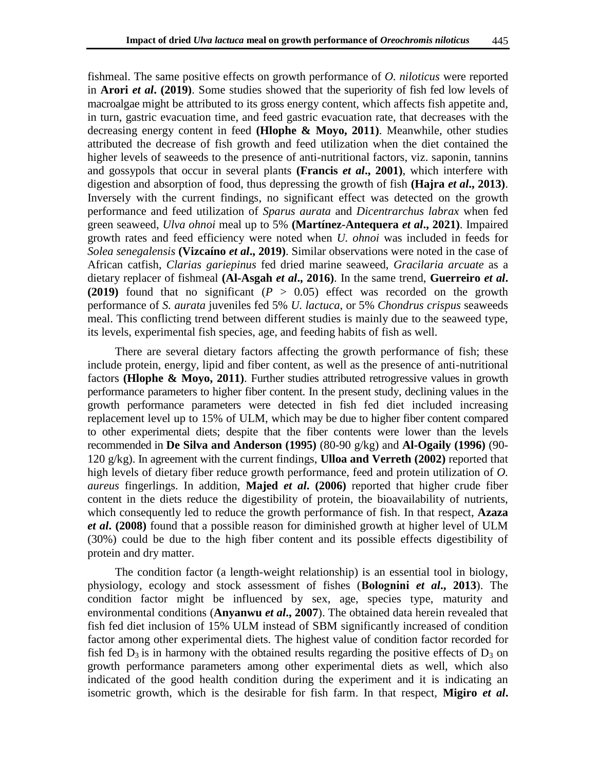fishmeal. The same positive effects on growth performance of *O. niloticus* were reported in **Arori** *et al***. (2019)**. Some studies showed that the superiority of fish fed low levels of macroalgae might be attributed to its gross energy content, which affects fish appetite and, in turn, gastric evacuation time, and feed gastric evacuation rate, that decreases with the decreasing energy content in feed **(Hlophe & Moyo, 2011)**. Meanwhile, other studies attributed the decrease of fish growth and feed utilization when the diet contained the higher levels of seaweeds to the presence of anti-nutritional factors, viz. saponin, tannins and gossypols that occur in several plants **(Francis** *et al***., 2001)**, which interfere with digestion and absorption of food, thus depressing the growth of fish **(Hajra** *et al***., 2013)**. Inversely with the current findings, no significant effect was detected on the growth performance and feed utilization of *Sparus aurata* and *Dicentrarchus labrax* when fed green seaweed, *Ulva ohnoi* meal up to 5% **(Martínez-Antequera** *et al***., 2021)**. Impaired growth rates and feed efficiency were noted when *U. ohnoi* was included in feeds for *Solea senegalensis* **(Vizcaíno** *et al***., 2019)**. Similar observations were noted in the case of African catfish, *Clarias gariepinus* fed dried marine seaweed, *Gracilaria arcuate* as a dietary replacer of fishmeal **(Al-Asgah** *et al***., 2016)**. In the same trend, **Guerreiro** *et al***. (2019)** found that no significant (*P* > 0.05) effect was recorded on the growth performance of *S. aurata* juveniles fed 5% *U. lactuca*, or 5% *Chondrus crispus* seaweeds meal. This conflicting trend between different studies is mainly due to the seaweed type, its levels, experimental fish species, age, and feeding habits of fish as well.

There are several dietary factors affecting the growth performance of fish; these include protein, energy, lipid and fiber content, as well as the presence of anti-nutritional factors **(Hlophe & Moyo, 2011)**. Further studies attributed retrogressive values in growth performance parameters to higher fiber content. In the present study, declining values in the growth performance parameters were detected in fish fed diet included increasing replacement level up to 15% of ULM, which may be due to higher fiber content compared to other experimental diets; despite that the fiber contents were lower than the levels recommended in **De Silva and Anderson (1995)** (80-90 g/kg) and **Al-Ogaily (1996)** (90- 120 g/kg). In agreement with the current findings, **Ulloa and Verreth (2002)** reported that high levels of dietary fiber reduce growth performance, feed and protein utilization of *O. aureus* fingerlings. In addition, **Majed** *et al***. (2006)** reported that higher crude fiber content in the diets reduce the digestibility of protein, the bioavailability of nutrients, which consequently led to reduce the growth performance of fish. In that respect, **Azaza**  *et al***. (2008)** found that a possible reason for diminished growth at higher level of ULM (30%) could be due to the high fiber content and its possible effects digestibility of protein and dry matter.

The condition factor (a length-weight relationship) is an essential tool in biology, physiology, ecology and stock assessment of fishes (*et al***., 2013**). The condition factor might be influenced by sex, age, species type, maturity and environmental conditions (**Anyanwu** *et al***., 2007**). The obtained data herein revealed that fish fed diet inclusion of 15% ULM instead of SBM significantly increased of condition factor among other experimental diets. The highest value of condition factor recorded for fish fed  $D_3$  is in harmony with the obtained results regarding the positive effects of  $D_3$  on growth performance parameters among other experimental diets as well, which also indicated of the good health condition during the experiment and it is indicating an isometric growth, which is the desirable for fish farm. In that respect, **Migiro** *et al***.**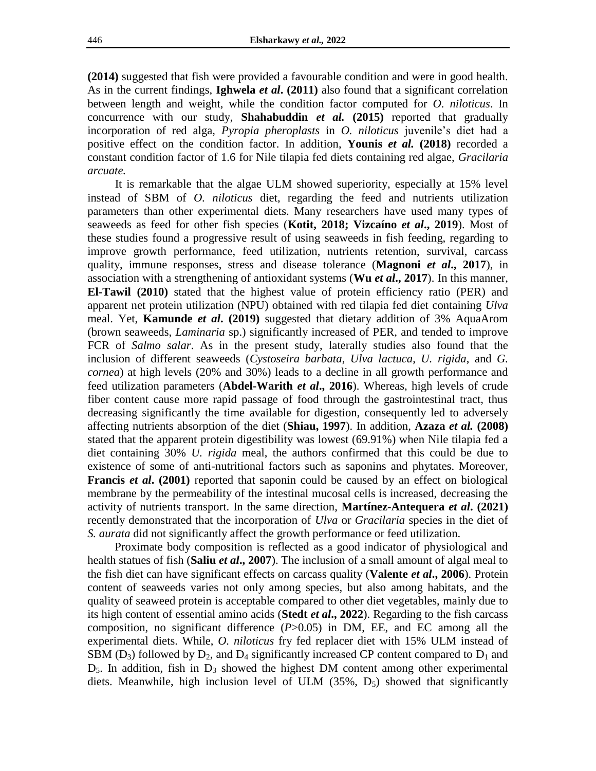**(2014)** suggested that fish were provided a favourable condition and were in good health. As in the current findings, **Ighwela** *et al***. (2011)** also found that a significant correlation between length and weight, while the condition factor computed for *O. niloticus*. In concurrence with our study, **Shahabuddin** *et al.* **(2015)** reported that gradually incorporation of red alga, *Pyropia pheroplasts* in *O. niloticus* juvenile's diet had a positive effect on the condition factor. In addition, **Younis** *et al.* **(2018)** recorded a constant condition factor of 1.6 for Nile tilapia fed diets containing red algae, *Gracilaria arcuate.*

It is remarkable that the algae ULM showed superiority, especially at 15% level instead of SBM of *O. niloticus* diet, regarding the feed and nutrients utilization parameters than other experimental diets. Many researchers have used many types of seaweeds as feed for other fish species (**Kotit, 2018; Vizcaíno** *et al***., 2019**). Most of these studies found a progressive result of using seaweeds in fish feeding, regarding to improve growth performance, feed utilization, nutrients retention, survival, carcass quality, immune responses, stress and disease tolerance (**Magnoni** *et al***., 2017**), in association with a strengthening of antioxidant systems (**Wu** *et al***., 2017**). In this manner, **El-Tawil (2010)** stated that the highest value of protein efficiency ratio (PER) and apparent net protein utilization (NPU) obtained with red tilapia fed diet containing *Ulva* meal. Yet, **Kamunde** *et al***. (2019)** suggested that dietary addition of 3% AquaArom (brown seaweeds, *Laminaria* sp.) significantly increased of PER, and tended to improve FCR of *Salmo salar*. As in the present study, laterally studies also found that the inclusion of different seaweeds (*Cystoseira barbata*, *Ulva lactuca*, *U. rigida*, and *G. cornea*) at high levels (20% and 30%) leads to a decline in all growth performance and feed utilization parameters (**Abdel-Warith** *et al***., 2016**). Whereas, high levels of crude fiber content cause more rapid passage of food through the gastrointestinal tract, thus decreasing significantly the time available for digestion, consequently led to adversely affecting nutrients absorption of the diet (**Shiau, 1997**). In addition, **Azaza** *et al.* **(2008)** stated that the apparent protein digestibility was lowest (69.91%) when Nile tilapia fed a diet containing 30% *U. rigida* meal, the authors confirmed that this could be due to existence of some of anti-nutritional factors such as saponins and phytates. Moreover, **Francis** *et al***. (2001)** reported that saponin could be caused by an effect on biological membrane by the permeability of the intestinal mucosal cells is increased, decreasing the activity of nutrients transport. In the same direction, **Martínez-Antequera** *et al***. (2021)** recently demonstrated that the incorporation of *Ulva* or *Gracilaria* species in the diet of *S. aurata* did not significantly affect the growth performance or feed utilization.

Proximate body composition is reflected as a good indicator of physiological and health statues of fish (**Saliu** *et al***., 2007**). The inclusion of a small amount of algal meal to the fish diet can have significant effects on carcass quality (**Valente** *et al***., 2006**). Protein content of seaweeds varies not only among species, but also among habitats, and the quality of seaweed protein is acceptable compared to other diet vegetables, mainly due to its high content of essential amino acids (**Stedt** *et al***., 2022**). Regarding to the fish carcass composition, no significant difference (*P*>0.05) in DM, EE, and EC among all the experimental diets. While, *O. niloticus* fry fed replacer diet with 15% ULM instead of SBM ( $D_3$ ) followed by  $D_2$ , and  $D_4$  significantly increased CP content compared to  $D_1$  and  $D_5$ . In addition, fish in  $D_3$  showed the highest DM content among other experimental diets. Meanwhile, high inclusion level of ULM  $(35\%, D_5)$  showed that significantly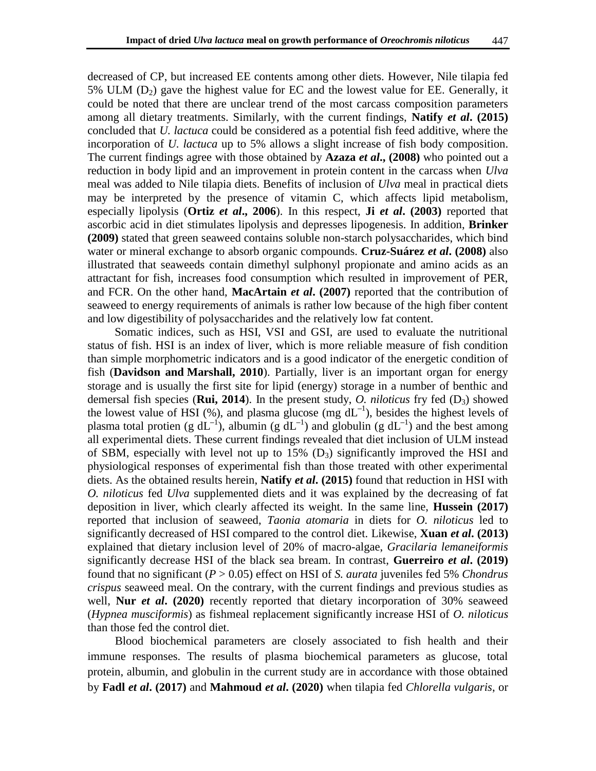decreased of CP, but increased EE contents among other diets. However, Nile tilapia fed 5% ULM  $(D_2)$  gave the highest value for EC and the lowest value for EE. Generally, it could be noted that there are unclear trend of the most carcass composition parameters among all dietary treatments. Similarly, with the current findings, **Natify** *et al***. (2015)** concluded that *U. lactuca* could be considered as a potential fish feed additive, where the incorporation of *U. lactuca* up to 5% allows a slight increase of fish body composition. The current findings agree with those obtained by **Azaza** *et al***., (2008)** who pointed out a reduction in body lipid and an improvement in protein content in the carcass when *Ulva*  meal was added to Nile tilapia diets. Benefits of inclusion of *Ulva* meal in practical diets may be interpreted by the presence of vitamin C, which affects lipid metabolism, especially lipolysis (**Ortiz** *et al***., 2006**). In this respect, **Ji** *et al***. (2003)** reported that ascorbic acid in diet stimulates lipolysis and depresses lipogenesis. In addition, **Brinker (2009)** stated that green seaweed contains soluble non-starch polysaccharides, which bind water or mineral exchange to absorb organic compounds. **Cruz-Suárez** *et al***. (2008)** also illustrated that seaweeds contain dimethyl sulphonyl propionate and amino acids as an attractant for fish, increases food consumption which resulted in improvement of PER, and FCR. On the other hand, **MacArtain** *et al***. (2007)** reported that the contribution of seaweed to energy requirements of animals is rather low because of the high fiber content and low digestibility of polysaccharides and the relatively low fat content.

Somatic indices, such as HSI, VSI and GSI, are used to evaluate the nutritional status of fish. HSI is an index of liver, which is more reliable measure of fish condition than simple morphometric indicators and is a good indicator of the energetic condition of fish (**Davidson and Marshall, 2010**). Partially, liver is an important organ for energy storage and is usually the first site for lipid (energy) storage in a number of benthic and demersal fish species (**[Rui,](https://www.ncbi.nlm.nih.gov/pubmed/?term=Rui%20L%5BAuthor%5D&cauthor=true&cauthor_uid=24692138) 2014**). In the present study, *O. niloticus* fry fed  $(D_3)$  showed the lowest value of HSI  $(\%)$ , and plasma glucose  $(mg dL^{-1})$ , besides the highest levels of plasma total protien (g  $dL^{-1}$ ), albumin (g  $dL^{-1}$ ) and globulin (g  $dL^{-1}$ ) and the best among all experimental diets. These current findings revealed that diet inclusion of ULM instead of SBM, especially with level not up to 15%  $(D_3)$  significantly improved the HSI and physiological responses of experimental fish than those treated with other experimental diets. As the obtained results herein, **Natify** *et al***. (2015)** found that reduction in HSI with *O. niloticus* fed *Ulva* supplemented diets and it was explained by the decreasing of fat deposition in liver, which clearly affected its weight. In the same line, **Hussein (2017)**  reported that inclusion of seaweed, *Taonia atomaria* in diets for *O. niloticus* led to significantly decreased of HSI compared to the control diet. Likewise, **Xuan** *et al***. (2013)** explained that dietary inclusion level of 20% of macro-algae, *Gracilaria lemaneiformis* significantly decrease HSI of the black sea bream. In contrast, **Guerreiro** *et al***. (2019)** found that no significant (*P* > 0.05) effect on HSI of *S. aurata* juveniles fed 5% *Chondrus crispus* seaweed meal. On the contrary, with the current findings and previous studies as well, **Nur** *et al***. (2020)** recently reported that dietary incorporation of 30% seaweed (*Hypnea musciformis*) as fishmeal replacement significantly increase HSI of *O. niloticus* than those fed the control diet.

Blood biochemical parameters are closely associated to fish health and their immune responses. The results of plasma biochemical parameters as glucose, total protein, albumin, and globulin in the current study are in accordance with those obtained by **Fadl** *et al***. (2017)** and **Mahmoud** *et al***. (2020)** when tilapia fed *Chlorella vulgaris*, or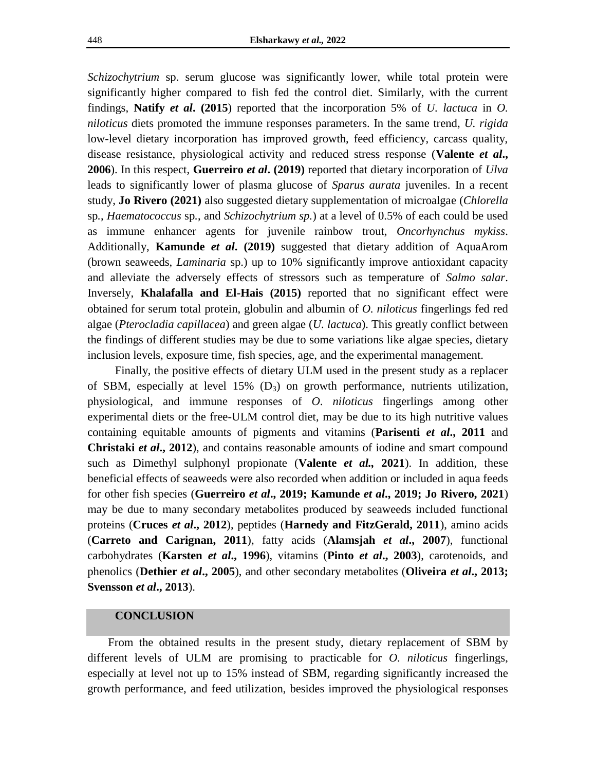*Schizochytrium* sp. serum glucose was significantly lower, while total protein were significantly higher compared to fish fed the control diet. Similarly, with the current findings, **Natify** *et al***. (2015**) reported that the incorporation 5% of *U. lactuca* in *O. niloticus* diets promoted the immune responses parameters. In the same trend, *U. rigida*  low-level dietary incorporation has improved growth, feed efficiency, carcass quality, disease resistance, physiological activity and reduced stress response (**Valente** *et al***., 2006**). In this respect, **Guerreiro** *et al***. (2019)** reported that dietary incorporation of *Ulva*  leads to significantly lower of plasma glucose of *Sparus aurata* juveniles. In a recent study, **Jo Rivero (2021)** also suggested dietary supplementation of microalgae (*Chlorella*  sp*.*, *Haematococcus* sp*.*, and *Schizochytrium sp.*) at a level of 0.5% of each could be used as immune enhancer agents for juvenile rainbow trout, *Oncorhynchus mykiss*. Additionally, **Kamunde** *et al***. (2019)** suggested that dietary addition of AquaArom (brown seaweeds, *Laminaria* sp.) up to 10% significantly improve antioxidant capacity and alleviate the adversely effects of stressors such as temperature of *Salmo salar*. Inversely, **Khalafalla and El-Hais (2015)** reported that no significant effect were obtained for serum total protein, globulin and albumin of *O. niloticus* fingerlings fed red algae (*Pterocladia capillacea*) and green algae (*U. lactuca*). This greatly conflict between the findings of different studies may be due to some variations like algae species, dietary inclusion levels, exposure time, fish species, age, and the experimental management.

Finally, the positive effects of dietary ULM used in the present study as a replacer of SBM, especially at level  $15\%$  (D<sub>3</sub>) on growth performance, nutrients utilization, physiological, and immune responses of *O. niloticus* fingerlings among other experimental diets or the free-ULM control diet, may be due to its high nutritive values containing equitable amounts of pigments and vitamins (**Parisenti** *et al***., 2011** and **Christaki** *et al***., 2012**), and contains reasonable amounts of iodine and smart compound such as Dimethyl sulphonyl propionate (**Valente** *et al.,* **2021**). In addition, these beneficial effects of seaweeds were also recorded when addition or included in aqua feeds for other fish species (**Guerreiro** *et al***., 2019; Kamunde** *et al***., 2019; Jo Rivero, 2021**) may be due to many secondary metabolites produced by seaweeds included functional proteins (**Cruces** *et al***., 2012**), peptides (**Harnedy and FitzGerald, 2011**), amino acids (**Carreto and Carignan, 2011**), fatty acids (**Alamsjah** *et al***., 2007**), functional carbohydrates (**Karsten** *et al***., 1996**), vitamins (**Pinto** *et al***., 2003**), carotenoids, and phenolics (**Dethier** *et al***., 2005**), and other secondary metabolites (**Oliveira** *et al***., 2013; Svensson** *et al***., 2013**).

# **CONCLUSION**

From the obtained results in the present study, dietary replacement of SBM by different levels of ULM are promising to practicable for *O. niloticus* fingerlings, especially at level not up to 15% instead of SBM, regarding significantly increased the growth performance, and feed utilization, besides improved the physiological responses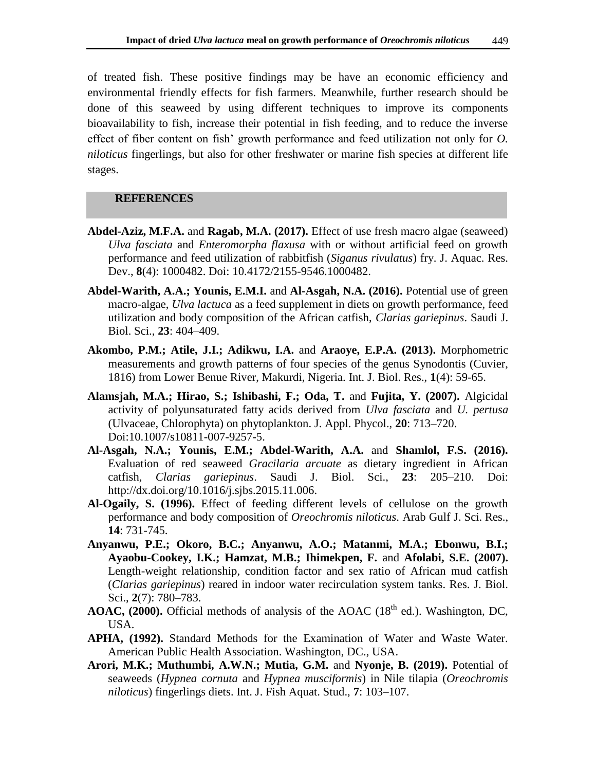of treated fish. These positive findings may be have an economic efficiency and environmental friendly effects for fish farmers. Meanwhile, further research should be done of this seaweed by using different techniques to improve its components bioavailability to fish, increase their potential in fish feeding, and to reduce the inverse effect of fiber content on fish' growth performance and feed utilization not only for *O. niloticus* fingerlings, but also for other freshwater or marine fish species at different life stages.

# **REFERENCES**

- **Abdel-Aziz, M.F.A.** and **Ragab, M.A. (2017).** Effect of use fresh macro algae (seaweed) *Ulva fasciata* and *Enteromorpha flaxusa* with or without artificial feed on growth performance and feed utilization of rabbitfish (*Siganus rivulatus*) fry. J. Aquac. Res. Dev., **8**(4): 1000482. Doi: 10.4172/2155-9546.1000482.
- **Abdel-Warith, A.A.; Younis, E.M.I.** and **Al-Asgah, N.A. (2016).** Potential use of green macro-algae, *Ulva lactuca* as a feed supplement in diets on growth performance, feed utilization and body composition of the African catfish, *Clarias gariepinus*. Saudi J. Biol. Sci., **23**: 404–409.
- **Akombo, P.M.; Atile, J.I.; Adikwu, I.A.** and **Araoye, E.P.A. (2013).** Morphometric measurements and growth patterns of four species of the genus Synodontis (Cuvier, 1816) from Lower Benue River, Makurdi, Nigeria. Int. J. Biol. Res., **1**(4): 59-65.
- **Alamsjah, M.A.; Hirao, S.; Ishibashi, F.; Oda, T.** and **Fujita, Y. (2007).** Algicidal activity of polyunsaturated fatty acids derived from *Ulva fasciata* and *U. pertusa*  (Ulvaceae, Chlorophyta) on phytoplankton. J. Appl. Phycol., **20**: 713–720. Doi:10.1007/s10811-007-9257-5.
- **Al-Asgah, N.A.; Younis, E.M.; Abdel-Warith, A.A.** and **Shamlol, F.S. (2016).** Evaluation of red seaweed *Gracilaria arcuate* as dietary ingredient in African catfish, *Clarias gariepinus*. Saudi J. Biol. Sci., **23**: 205–210. Doi: [http://dx.doi.org/10.1016/j.sjbs.2015.11.006.](http://dx.doi.org/10.1016/j.sjbs.2015.11.006)
- **Al-Ogaily, S. (1996).** Effect of feeding different levels of cellulose on the growth performance and body composition of *Oreochromis niloticus*. Arab Gulf J. Sci. Res., **14**: 731-745.
- **Anyanwu, P.E.; Okoro, B.C.; Anyanwu, A.O.; Matanmi, M.A.; Ebonwu, B.I.; Ayaobu-Cookey, I.K.; Hamzat, M.B.; Ihimekpen, F.** and **Afolabi, S.E. (2007).** Length-weight relationship, condition factor and sex ratio of African mud catfish (*Clarias gariepinus*) reared in indoor water recirculation system tanks. Res. J. Biol. Sci., **2**(7): 780–783.
- **AOAC, (2000).** Official methods of analysis of the AOAC ( $18<sup>th</sup>$  ed.). Washington, DC, USA.
- **APHA, (1992).** Standard Methods for the Examination of Water and Waste Water. American Public Health Association. Washington, DC., USA.
- **Arori, M.K.; Muthumbi, A.W.N.; Mutia, G.M.** and **Nyonje, B. (2019).** Potential of seaweeds (*Hypnea cornuta* and *Hypnea musciformis*) in Nile tilapia (*Oreochromis niloticus*) fingerlings diets. Int. J. Fish Aquat. Stud., **7**: 103–107.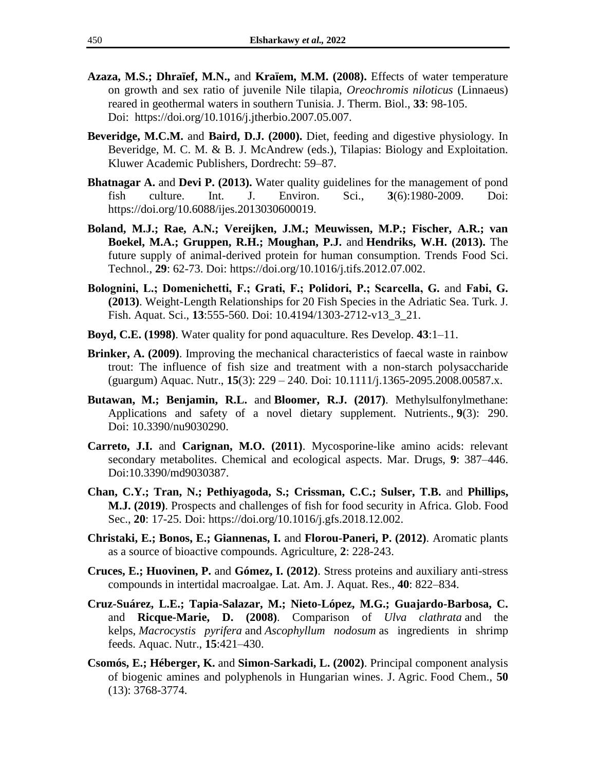- **Azaza, M.S.; Dhraïef, M.N.,** and **Kraïem, M.M. (2008).** Effects of water temperature on growth and sex ratio of juvenile Nile tilapia, *Oreochromis niloticus* (Linnaeus) reared in geothermal waters in southern Tunisia. J. Therm. Biol., **33**: 98-105. Doi: https://doi.org/10.1016/j.jtherbio.2007.05.007.
- **Beveridge, M.C.M.** and **Baird, D.J. (2000).** Diet, feeding and digestive physiology. In Beveridge, M. C. M. & B. J. McAndrew (eds.), Tilapias: Biology and Exploitation. Kluwer Academic Publishers, Dordrecht: 59–87.
- **Bhatnagar A.** and **Devi P.** (2013). Water quality guidelines for the management of pond fish culture. Int. J. Environ. Sci., **3**(6):1980-2009. Doi: <https://doi.org/10.6088/ijes.2013030600019.>
- **Boland, M.J.; Rae, A.N.; Vereijken, J.M.; Meuwissen, M.P.; Fischer, A.R.; van Boekel, M.A.; Gruppen, R.H.; Moughan, P.J.** and **[Hendriks,](https://research.wur.nl/en/persons/wouter-hendriks) W.H. (2013).** The future supply of animal-derived protein for human consumption. Trends Food Sci. Technol., **29**: 62-73. Doi: [https://doi.org/10.1016/j.tifs.2012.07.002.](https://doi.org/10.1016/j.tifs.2012.07.002)
- Bolognini, L.; Domenichetti, F.; Grati, F.; Polidori, P.; Scarcella, G. and Fabi, G. **(2013)**. Weight-Length Relationships for 20 Fish Species in the Adriatic Sea. Turk. J. Fish. Aquat. Sci., **13**:555-560. Doi: 10.4194/1303-2712-v13\_3\_21.
- **Boyd, C.E. (1998)**. Water quality for pond aquaculture. Res Develop. **43**:1–11.
- **Brinker, A. (2009)**. Improving the mechanical characteristics of faecal waste in rainbow trout: The influence of fish size and treatment with a non-starch polysaccharide (guargum) Aquac. Nutr., **15**(3): 229 – 240. Doi: [10.1111/j.1365-2095.2008.00587.x.](http://dx.doi.org/10.1111/j.1365-2095.2008.00587.x)
- **[Butawan,](https://www.ncbi.nlm.nih.gov/pubmed/?term=Butawan%20M%5BAuthor%5D&cauthor=true&cauthor_uid=28300758) M.; [Benjamin,](https://www.ncbi.nlm.nih.gov/pubmed/?term=Benjamin%20RL%5BAuthor%5D&cauthor=true&cauthor_uid=28300758) R.L.** and **[Bloomer,](https://www.ncbi.nlm.nih.gov/pubmed/?term=Bloomer%20RJ%5BAuthor%5D&cauthor=true&cauthor_uid=28300758) R.J. (2017)**. Methylsulfonylmethane: Applications and safety of a novel dietary supplement. [Nutrients.,](https://www.ncbi.nlm.nih.gov/pmc/articles/PMC5372953/) **9**(3): 290. Doi: [10.3390/nu9030290.](https://dx.doi.org/10.3390%2Fnu9030290)
- **Carreto, J.I.** and **Carignan, M.O. (2011)**. Mycosporine-like amino acids: relevant secondary metabolites. Chemical and ecological aspects. Mar. Drugs, **9**: 387–446. Doi:10.3390/md9030387.
- **[Chan,](https://www.sciencedirect.com/science/article/pii/S2211912418300439#!) C.Y.; [Tran,](https://www.sciencedirect.com/science/article/pii/S2211912418300439#!) N.; [Pethiyagoda,](https://www.sciencedirect.com/science/article/pii/S2211912418300439#!) S.; [Crissman,](https://www.sciencedirect.com/science/article/pii/S2211912418300439#!) C.C.; [Sulser,](https://www.sciencedirect.com/science/article/pii/S2211912418300439#!) T.B.** and **[Phillips,](https://www.sciencedirect.com/science/article/pii/S2211912418300439#!) M.J. (2019)**. Prospects and challenges of fish for food security in Africa. Glob. Food Sec., **[20](https://www.sciencedirect.com/journal/global-food-security/vol/20/suppl/C)**: 17-25. Doi: [https://doi.org/10.1016/j.gfs.2018.12.002.](https://doi.org/10.1016/j.gfs.2018.12.002)
- **Christaki, E.; Bonos, E.; Giannenas, I.** and **Florou-Paneri, P. (2012)**. Aromatic plants as a source of bioactive compounds. Agriculture, **2**: 228-243.
- **Cruces, E.; Huovinen, P.** and **Gómez, I. (2012)**. Stress proteins and auxiliary anti-stress compounds in intertidal macroalgae. Lat. Am. J. Aquat. Res., **40**: 822–834.
- **Cruz-Suárez, L.E.; Tapia-Salazar, M.; Nieto-López, M.G.; Guajardo-Barbosa, C.**  and **Ricque-Marie, D. (2008)**. Comparison of *Ulva clathrata* and the kelps, *Macrocystis pyrifera* and *Ascophyllum nodosum* as ingredients in shrimp feeds. Aquac. Nutr., **15**:421–430.
- **Csomós, E.; Héberger, K.** and **Simon-Sarkadi, L. (2002)**. [Principal component analysis](https://pubs.acs.org/doi/abs/10.1021/jf011699a)  [of biogenic amines and polyphenols in Hungarian wines.](https://pubs.acs.org/doi/abs/10.1021/jf011699a) J. Agric. Food Chem., **50** (13): 3768-3774.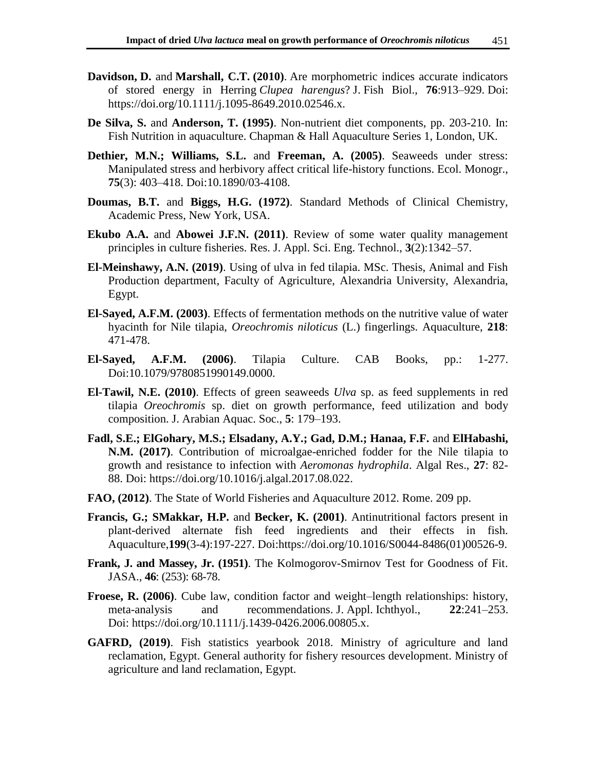- **Davidson, D.** and **Marshall, C.T. (2010)**. Are morphometric indices accurate indicators of stored energy in Herring *Clupea harengus*? J. Fish Biol., **76**:913–929. Doi: [https://doi.org/10.1111/j.1095-8649.2010.02546.x.](https://doi.org/10.1111/j.1095-8649.2010.02546.x)
- **De Silva, S.** and **Anderson, T. (1995)**. Non-nutrient diet components, pp. 203-210. In: Fish Nutrition in aquaculture. Chapman & Hall Aquaculture Series 1, London, UK.
- **Dethier, M.N.; Williams, S.L.** and **Freeman, A. (2005)**. Seaweeds under stress: Manipulated stress and herbivory affect critical life-history functions. Ecol. Monogr., **75**(3): 403–418. Doi:10.1890/03-4108.
- **Doumas, B.T.** and **Biggs, H.G. (1972)**. Standard Methods of Clinical Chemistry, Academic Press, New York, USA.
- **Ekubo A.A.** and **Abowei J.F.N. (2011)**. Review of some water quality management principles in culture fisheries. Res. J. Appl. Sci. Eng. Technol., **3**(2):1342–57.
- **El-Meinshawy, A.N. (2019)**. Using of ulva in fed tilapia. MSc. Thesis, Animal and Fish Production department, Faculty of Agriculture, Alexandria University, Alexandria, Egypt.
- **El-Sayed, A.F.M. (2003)**. Effects of fermentation methods on the nutritive value of water hyacinth for Nile tilapia, *Oreochromis niloticus* (L.) fingerlings. Aquaculture, **218**: 471-478.
- **El-Sayed, A.F.M. (2006)**. Tilapia Culture. CAB Books, pp.: 1-277. Doi:10.1079/9780851990149.0000.
- **El-Tawil, N.E. (2010)**. Effects of green seaweeds *Ulva* sp. as feed supplements in red tilapia *Oreochromis* sp. diet on growth performance, feed utilization and body composition. J. Arabian Aquac. Soc., **5**: 179–193.
- **Fadl, S.E.; ElGohary, M.S.; Elsadany, A.Y.; Gad, D.M.; Hanaa, F.F.** and **ElHabashi, N.M. (2017)**. Contribution of microalgae-enriched fodder for the Nile tilapia to growth and resistance to infection with *Aeromonas hydrophila*. Algal Res., **27**: 82- 88. Doi: [https://doi.org/10.1016/j.algal.2017.08.022.](https://doi.org/10.1016/j.algal.2017.08.022)
- **FAO, (2012)**. The State of World Fisheries and Aquaculture 2012. Rome. 209 pp.
- **[Francis,](https://www.sciencedirect.com/science/article/abs/pii/S0044848601005269?via%3Dihub#!) G.; [SMakkar,](https://www.sciencedirect.com/science/article/abs/pii/S0044848601005269?via%3Dihub#!) H.P.** and **[Becker,](https://www.sciencedirect.com/science/article/abs/pii/S0044848601005269?via%3Dihub#!) K. (2001)**. Antinutritional factors present in plant-derived alternate fish feed ingredients and their effects in fish. [Aquaculture,](https://www.sciencedirect.com/journal/aquaculture)**199**[\(3-4\):1](https://www.sciencedirect.com/journal/aquaculture/vol/199/issue/3)97-227. Doi[:https://doi.org/10.1016/S0044-8486\(01\)00526-9.](https://doi.org/10.1016/S0044-8486(01)00526-9)
- **Frank, J. and Massey, Jr. (1951)**. The Kolmogorov-Smirnov Test for Goodness of Fit. JASA., **46**[: \(253\):](https://www.jstor.org/stable/i314132) 68-78.
- **Froese, R. (2006)**. Cube law, condition factor and weight–length relationships: history, meta-analysis and recommendations. J. Appl. Ichthyol., **22**:241–253. Doi: [https://doi.org/10.1111/j.1439-0426.2006.00805.x.](https://doi.org/10.1111/j.1439-0426.2006.00805.x)
- **GAFRD, (2019)**. Fish statistics yearbook 2018. Ministry of agriculture and land reclamation, Egypt. General authority for fishery resources development. Ministry of agriculture and land reclamation, Egypt.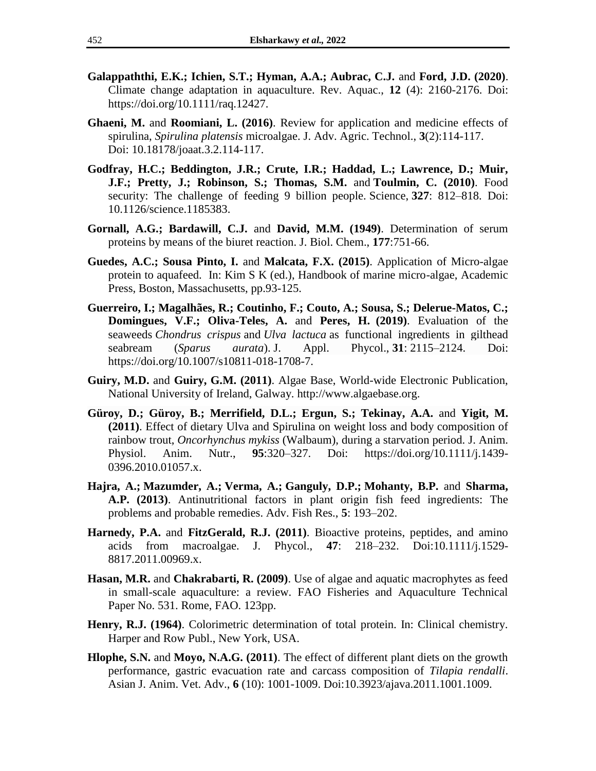- **Galappaththi, E.K.; Ichien, S.T.; Hyman, A.A.; Aubrac, C.J.** and **Ford, J.D. (2020)**. Climate change adaptation in aquaculture. Rev. Aquac., **12** (4): 2160-2176. Doi: [https://doi.org/10.1111/raq.12427.](https://doi.org/10.1111/raq.12427)
- **Ghaeni, M.** and **Roomiani, L. (2016)**. Review for application and medicine effects of spirulina, *Spirulina platensis* microalgae. J. Adv. Agric. Technol., **3**(2):114-117. Doi: 10.18178/joaat.3.2.114-117.
- **Godfray, H.C.; Beddington, J.R.; Crute, I.R.; Haddad, L.; Lawrence, D.; Muir, J.F.; [Pretty,](https://www.science.org/doi/10.1126/science.1185383#con7) J.; [Robinson,](https://www.science.org/doi/10.1126/science.1185383#con8) S.; [Thomas,](https://www.science.org/doi/10.1126/science.1185383#con9) S.M.** and **[Toulmin,](https://www.science.org/doi/10.1126/science.1185383#con10) C. (2010)**. Food security: The challenge of feeding 9 billion people. Science, **327**: 812–818. Doi: 10.1126/science.1185383.
- **Gornall, A.G.; Bardawill, C.J.** and **David, M.M. (1949)**. Determination of serum proteins by means of the biuret reaction. J. Biol. Chem., **177**:751-66.
- **Guedes, A.C.; Sousa Pinto, I.** and **Malcata, F.X. (2015)**. Application of Micro-algae protein to aquafeed. In: Kim S K (ed.), Handbook of marine micro-algae, Academic Press, Boston, Massachusetts, pp.93-125.
- **Guerreiro, I.; Magalhães, R.; Coutinho, F.; Couto, A.; Sousa, S.; Delerue-Matos, C.; Domingues, V.F.; Oliva-Teles, A.** and **Peres, H. (2019)**. Evaluation of the seaweeds *Chondrus crispus* and *Ulva lactuca* as functional ingredients in gilthead seabream (*Sparus aurata*). J. Appl. Phycol., **31**: 2115–2124. Doi: [https://doi.org/10.1007/s10811-018-1708-7.](https://doi.org/10.1007/s10811-018-1708-7)
- **Guiry, M.D.** and **Guiry, G.M. (2011)**. Algae Base, World-wide Electronic Publication, National University of Ireland, Galway. [http://www.algaebase.org.](http://www.algaebase.org/)
- **Güroy, D.; Güroy, B.; Merrifield, D.L.; Ergun, S.; Tekinay, A.A.** and **Yigit, M. (2011)**. Effect of dietary Ulva and Spirulina on weight loss and body composition of rainbow trout, *Oncorhynchus mykiss* (Walbaum), during a starvation period. J. Anim. Physiol. Anim. Nutr., **95**:320–327. Doi: [https://doi.org/10.1111/j.1439-](https://doi.org/10.1111/j.1439-0396.2010.01057.x) [0396.2010.01057.x.](https://doi.org/10.1111/j.1439-0396.2010.01057.x)
- **Hajra, A.; Mazumder, A.; Verma, A.; Ganguly, D.P.; Mohanty, B.P.** and **Sharma, A.P. (2013)**. Antinutritional factors in plant origin fish feed ingredients: The problems and probable remedies. Adv. Fish Res., **5**: 193–202.
- **Harnedy, P.A.** and **FitzGerald, R.J. (2011)**. Bioactive proteins, peptides, and amino acids from macroalgae. J. Phycol., **47**: 218–232. Doi:10.1111/j.1529- 8817.2011.00969.x.
- **Hasan, M.R.** and **Chakrabarti, R. (2009)**. Use of algae and aquatic macrophytes as feed in small-scale aquaculture: a review. FAO Fisheries and Aquaculture Technical Paper No. 531. Rome, FAO. 123pp.
- **Henry, R.J. (1964)**. Colorimetric determination of total protein. In: Clinical chemistry. Harper and Row Publ., New York, USA.
- **Hlophe, S.N.** and **Moyo, N.A.G. (2011)**. The effect of different plant diets on the growth performance, gastric evacuation rate and carcass composition of *Tilapia rendalli*. Asian J. Anim. Vet. Adv., **6** (10): 1001-1009. Doi:10.3923/ajava.2011.1001.1009.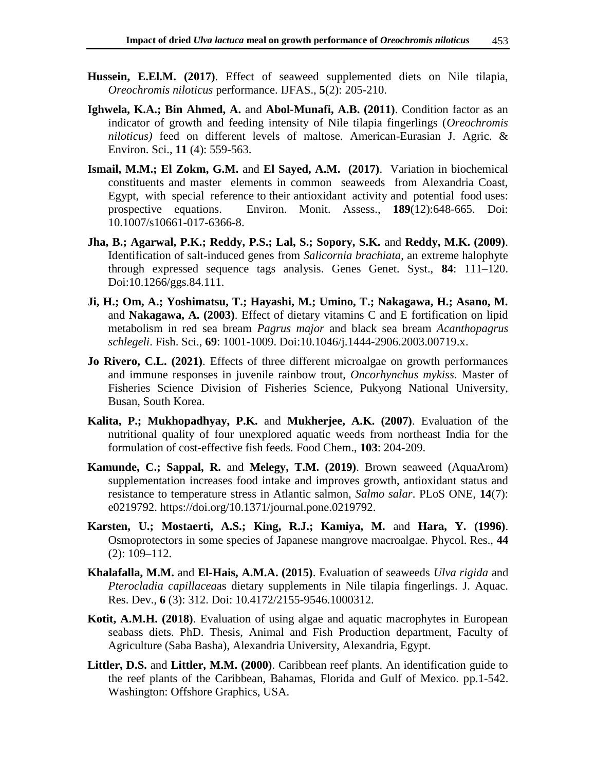- **Hussein, E.El.M. (2017)**. Effect of seaweed supplemented diets on Nile tilapia, *Oreochromis niloticus* performance. IJFAS., **5**(2): 205-210.
- **Ighwela, K.A.; Bin Ahmed, A.** and **Abol-Munafi, A.B. (2011)**. Condition factor as an indicator of growth and feeding intensity of Nile tilapia fingerlings (*Oreochromis niloticus)* feed on different levels of maltose. American-Eurasian J. Agric. & Environ. Sci., **11** (4): 559-563.
- **Ismail, M.M.; El Zokm, G.M.** and **El Sayed, A.M. (2017)**. Variation in biochemical constituents and master elements in common seaweeds from Alexandria Coast, Egypt, with special reference to their antioxidant activity and potential food uses: prospective equations. Environ. Monit. Assess., **189**(12):648-665. Doi: 10.1007/s10661-017-6366-8.
- **Jha, B.; Agarwal, P.K.; Reddy, P.S.; Lal, S.; Sopory, S.K.** and **Reddy, M.K. (2009)**. Identification of salt-induced genes from *Salicornia brachiata*, an extreme halophyte through expressed sequence tags analysis. Genes Genet. Syst., **84**: 111–120. Doi:10.1266/ggs.84.111.
- **Ji, H.; Om, A.; Yoshimatsu, T.; Hayashi, M.; Umino, T.; Nakagawa, H.; Asano, M.**  and **Nakagawa, A. (2003)**. Effect of dietary vitamins C and E fortification on lipid metabolism in red sea bream *Pagrus major* and black sea bream *Acanthopagrus schlegeli*. Fish. Sci., **69**: 1001-1009. Doi[:10.1046/j.1444-2906.2003.00719.x.](http://dx.doi.org/10.1046/j.1444-2906.2003.00719.x)
- **Jo Rivero, C.L. (2021)**. Effects of three different microalgae on growth performances and immune responses in juvenile rainbow trout, *Oncorhynchus mykiss*. Master of Fisheries Science Division of Fisheries Science, Pukyong National University, Busan, South Korea.
- **Kalita, P.; Mukhopadhyay, P.K.** and **Mukherjee, A.K. (2007)**. Evaluation of the nutritional quality of four unexplored aquatic weeds from northeast India for the formulation of cost-effective fish feeds. Food Chem., **103**: 204-209.
- **Kamunde, C.; Sappal, R.** and **Melegy, T.M. (2019)**. Brown seaweed (AquaArom) supplementation increases food intake and improves growth, antioxidant status and resistance to temperature stress in Atlantic salmon, *Salmo salar*. PLoS ONE, **14**(7): e0219792. [https://doi.org/10.1371/journal.pone.0219792.](https://doi.org/10.1371/journal.pone.0219792)
- **Karsten, U.; Mostaerti, A.S.; King, R.J.; Kamiya, M.** and **Hara, Y. (1996)**. Osmoprotectors in some species of Japanese mangrove macroalgae. Phycol. Res., **44** (2): 109–112.
- **Khalafalla, M.M.** and **El-Hais, A.M.A. (2015)**. Evaluation of seaweeds *Ulva rigida* and *Pterocladia capillacea*as dietary supplements in Nile tilapia fingerlings. J. Aquac. Res. Dev., **6** (3): 312. Doi: 10.4172/2155-9546.1000312.
- **Kotit, A.M.H. (2018)**. Evaluation of using algae and aquatic macrophytes in European seabass diets. PhD. Thesis, Animal and Fish Production department, Faculty of Agriculture (Saba Basha), Alexandria University, Alexandria, Egypt.
- **Littler, D.S.** and **Littler, M.M. (2000)**. Caribbean reef plants. An identification guide to the reef plants of the Caribbean, Bahamas, Florida and Gulf of Mexico. pp.1-542. Washington: Offshore Graphics, USA.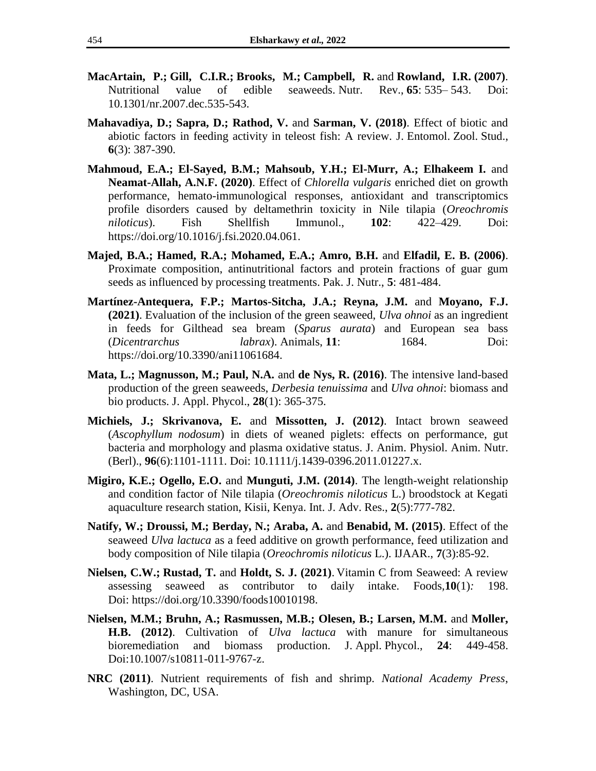- **MacArtain, P.; Gill, C.I.R.; Brooks, M.; Campbell, R.** and **Rowland, I.R. (2007)**. Nutritional value of edible seaweeds. Nutr. Rev., **65**: 535– 543. Doi: 10.1301/nr.2007.dec.535-543.
- **Mahavadiya, D.; Sapra, D.; Rathod, V.** and **Sarman, V. (2018)**. Effect of biotic and abiotic factors in feeding activity in teleost fish: A review. J. Entomol. Zool. Stud., **6**(3): 387-390.
- **Mahmoud, E.A.; El-Sayed, B.M.; Mahsoub, Y.H.; El-Murr, A.; Elhakeem I.** and **Neamat-Allah, A.N.F. (2020)**. Effect of *Chlorella vulgaris* enriched diet on growth performance, hemato-immunological responses, antioxidant and transcriptomics profile disorders caused by deltamethrin toxicity in Nile tilapia (*Oreochromis niloticus*). Fish Shellfish Immunol., **102**: 422–429. Doi: [https://doi.org/10.1016/j.fsi.2020.04.061.](https://doi.org/10.1016/j.fsi.2020.04.061)
- **Majed, B.A.; Hamed, R.A.; Mohamed, E.A.; Amro, B.H.** and **Elfadil, E. B. (2006)**. Proximate composition, antinutritional factors and protein fractions of guar gum seeds as influenced by processing treatments. Pak. J. Nutr., **5**: 481-484.
- **Martínez-Antequera, F.P.; Martos-Sitcha, J.A.; Reyna, J.M.** and **Moyano, F.J. (2021)**. Evaluation of the inclusion of the green seaweed, *Ulva ohnoi* as an ingredient in feeds for Gilthead sea bream (*Sparus aurata*) and European sea bass (*Dicentrarchus labrax*). Animals, **11**: 1684. Doi: [https://doi.org/10.3390/ani11061684.](https://doi.org/10.3390/ani11061684)
- **Mata, L.; Magnusson, M.; Paul, N.A.** and **de Nys, R. (2016)**. The intensive land-based production of the green seaweeds, *Derbesia tenuissima* and *Ulva ohnoi*: biomass and bio products. J. Appl. Phycol., **28**(1): 365-375.
- **Michiels, J.; Skrivanova, E.** and **Missotten, J. (2012)**. Intact brown seaweed (*Ascophyllum nodosum*) in diets of weaned piglets: effects on performance, gut bacteria and morphology and plasma oxidative status. J. Anim. Physiol. Anim. Nutr. (Berl)., **96**(6):1101-1111. Doi: [10.1111/j.1439-0396.2011.01227.x.](https://doi.org/10.1111/j.1439-0396.2011.01227.x)
- **Migiro, K.E.; Ogello, E.O.** and **Munguti, J.M. (2014)**. The length-weight relationship and condition factor of Nile tilapia (*Oreochromis niloticus* L.) broodstock at Kegati aquaculture research station, Kisii, Kenya. Int. J. Adv. Res., **2**(5):777-782.
- **Natify, W.; Droussi, M.; Berday, N.; Araba, A.** and **Benabid, M. (2015)**. Effect of the seaweed *Ulva lactuca* as a feed additive on growth performance, feed utilization and body composition of Nile tilapia (*Oreochromis niloticus* L.). IJAAR., **7**(3):85-92.
- **[Nielsen,](https://pubmed.ncbi.nlm.nih.gov/?term=Nielsen+CW&cauthor_id=33478115) C.W.; [Rustad,](https://pubmed.ncbi.nlm.nih.gov/?term=Rustad+T&cauthor_id=33478115) T.** and **[Holdt,](https://pubmed.ncbi.nlm.nih.gov/?term=Holdt+SL&cauthor_id=33478115) S. J. (2021)**. Vitamin C from Seaweed: A review assessing seaweed as contributor to daily intake. Foods*,***10**(1)*:* 198. Doi: [https://doi.org/10.3390/foods10010198.](https://doi.org/10.3390/foods10010198)
- **Nielsen, M.M.; Bruhn, A.; Rasmussen, M.B.; Olesen, B.; Larsen, M.M.** and **Moller, H.B. (2012)**. Cultivation of *Ulva lactuca* with manure for simultaneous bioremediation and biomass production. J. Appl. Phycol., **24**: 449-458. Doi[:10.1007/s10811-011-9767-z.](http://dx.doi.org/10.1007/s10811-011-9767-z)
- **NRC (2011)**. Nutrient requirements of fish and shrimp. *National Academy Press*, Washington, DC, USA.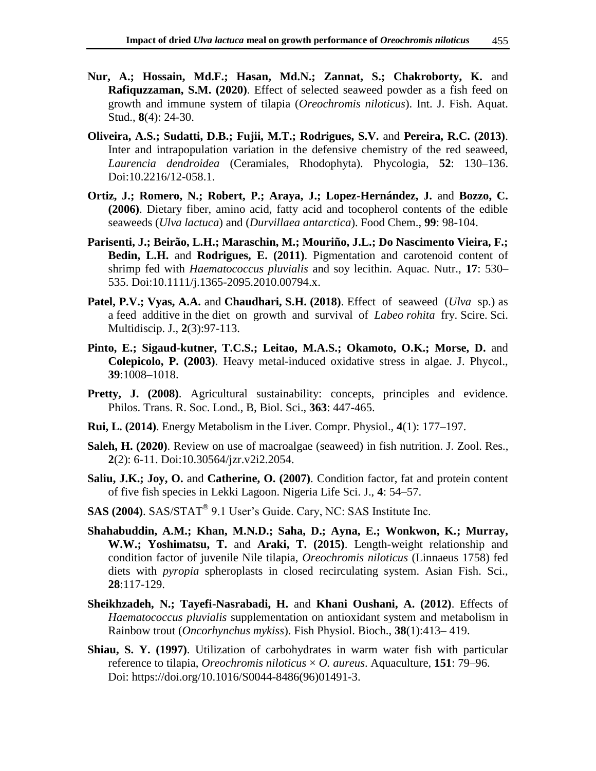- **Nur, A.; Hossain, Md.F.; Hasan, Md.N.; Zannat, S.; Chakroborty, K.** and **Rafiquzzaman, S.M. (2020)**. Effect of selected seaweed powder as a fish feed on growth and immune system of tilapia (*Oreochromis niloticus*). Int. J. Fish. Aquat. Stud., **8**(4): 24-30.
- **Oliveira, A.S.; Sudatti, D.B.; Fujii, M.T.; Rodrigues, S.V.** and **Pereira, R.C. (2013)**. Inter and intrapopulation variation in the defensive chemistry of the red seaweed, *Laurencia dendroidea* (Ceramiales, Rhodophyta). Phycologia, **52**: 130–136. Doi:10.2216/12-058.1.
- **Ortiz, J.; Romero, N.; Robert, P.; Araya, J.; Lopez-Hernández, J.** and **Bozzo, C. (2006)**. Dietary fiber, amino acid, fatty acid and tocopherol contents of the edible seaweeds (*Ulva lactuca*) and (*Durvillaea antarctica*). Food Chem., **99**: 98-104.
- **Parisenti, J.; Beirão, L.H.; Maraschin, M.; Mouriño, J.L.; Do Nascimento Vieira, F.; Bedin, L.H.** and **Rodrigues, E. (2011)**. Pigmentation and carotenoid content of shrimp fed with *Haematococcus pluvialis* and soy lecithin. Aquac. Nutr., **17**: 530– 535. Doi[:10.1111/j.1365-2095.2010.00794.x.](http://dx.doi.org/10.1111/j.1365-2095.2010.00794.x)
- **Patel, P.V.; Vyas, A.A.** and **Chaudhari, S.H. (2018)**. Effect of seaweed (*Ulva* sp.) as a feed additive in the diet on growth and survival of *Labeo rohita* fry. Scire. Sci. Multidiscip. J., **2**(3):97-113.
- **Pinto, E.; Sigaud-kutner, T.C.S.; Leitao, M.A.S.; Okamoto, O.K.; Morse, D.** and **Colepicolo, P. (2003)**. Heavy metal-induced oxidative stress in algae. J. Phycol., **39**:1008–1018.
- **Pretty, J. (2008)**. Agricultural sustainability: concepts, principles and evidence. Philos. Trans. R. Soc. Lond., B, Biol. Sci., **363**: 447-465.
- **[Rui,](https://www.ncbi.nlm.nih.gov/pubmed/?term=Rui%20L%5BAuthor%5D&cauthor=true&cauthor_uid=24692138) L. (2014)**. Energy Metabolism in the Liver. [Compr. Physiol.,](https://www.ncbi.nlm.nih.gov/entrez/eutils/elink.fcgi?dbfrom=pubmed&retmode=ref&cmd=prlinks&id=24692138) **4**(1): 177–197.
- **Saleh, H. (2020)**. Review on use of macroalgae (seaweed) in fish nutrition. J. Zool. Res., **2**(2): 6-11. Doi:10.30564/jzr.v2i2.2054.
- **Saliu, J.K.; Joy, O.** and **Catherine, O. (2007)**. Condition factor, fat and protein content of five fish species in Lekki Lagoon. Nigeria Life Sci. J., **4**: 54–57.
- **SAS (2004)**. SAS/STAT® 9.1 User's Guide. Cary, NC: SAS Institute Inc.
- **Shahabuddin, A.M.; Khan, M.N.D.; Saha, D.; Ayna, E.; Wonkwon, K.; Murray, W.W.; Yoshimatsu, T.** and **Araki, T. (2015)**. Length-weight relationship and condition factor of juvenile Nile tilapia, *Oreochromis niloticus* (Linnaeus 1758) fed diets with *pyropia* spheroplasts in closed recirculating system. Asian Fish. Sci., **28**:117-129.
- **Sheikhzadeh, N.; Tayefi-Nasrabadi, H.** and **Khani Oushani, A. (2012)**. Effects of *Haematococcus pluvialis* supplementation on antioxidant system and metabolism in Rainbow trout (*Oncorhynchus mykiss*). Fish Physiol. Bioch., **38**(1):413– 419.
- **Shiau, S. Y. (1997)**. Utilization of carbohydrates in warm water fish with particular reference to tilapia, *Oreochromis niloticus* × *O. aureus*. Aquaculture, **151**: 79–96. Doi: [https://doi.org/10.1016/S0044-8486\(96\)01491-3.](https://doi.org/10.1016/S0044-8486(96)01491-3)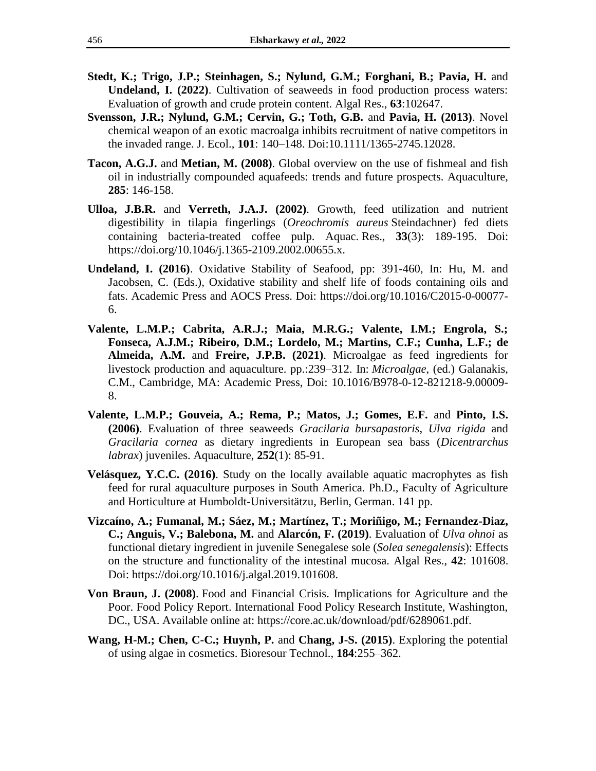- **Stedt, K.; Trigo, J.P.; Steinhagen, S.; Nylund, G.M.; Forghani, B.; Pavia, H.** and **Undeland, I. (2022)**. Cultivation of seaweeds in food production process waters: Evaluation of growth and crude protein content. Algal Res., **63**:102647.
- **Svensson, J.R.; Nylund, G.M.; Cervin, G.; Toth, G.B.** and **Pavia, H. (2013)**. Novel chemical weapon of an exotic macroalga inhibits recruitment of native competitors in the invaded range. J. Ecol., **101**: 140–148. Doi:10.1111/1365-2745.12028.
- **Tacon, A.G.J.** and **Metian, M. (2008)**. Global overview on the use of fishmeal and fish oil in industrially compounded aquafeeds: trends and future prospects. Aquaculture, **285**: 146-158.
- **Ulloa, [J.B.R.](https://onlinelibrary.wiley.com/action/doSearch?ContribAuthorRaw=Ulloa+R%2C+Juan+B)** and **[Verreth,](https://onlinelibrary.wiley.com/action/doSearch?ContribAuthorRaw=Verreth%2C+Johan+A+J) J.A.J. (2002)**. Growth, feed utilization and nutrient digestibility in tilapia fingerlings (*Oreochromis aureus* Steindachner) fed diets containing bacteria-treated coffee pulp. Aquac. Res., **33**(3): 189-195. Doi: [https://doi.org/10.1046/j.1365-2109.2002.00655.x.](https://doi.org/10.1046/j.1365-2109.2002.00655.x)
- **Undeland, I. (2016)**. Oxidative Stability of Seafood, pp: 391-460, In: Hu, M. and Jacobsen, C. (Eds.), Oxidative stability and shelf life of foods containing oils and fats. Academic Press and AOCS Press. Doi: [https://doi.org/10.1016/C2015-0-00077-](https://doi.org/10.1016/C2015-0-00077-6) [6.](https://doi.org/10.1016/C2015-0-00077-6)
- **Valente, L.M.P.; Cabrita, A.R.J.; Maia, M.R.G.; Valente, I.M.; Engrola, S.; Fonseca, A.J.M.; [Ribeiro,](https://www.sciencedirect.com/science/article/pii/B9780128212189000098?via%3Dihub#!) D.M.; [Lordelo,](https://www.sciencedirect.com/science/article/pii/B9780128212189000098?via%3Dihub#!) M.; [Martins,](https://www.sciencedirect.com/science/article/pii/B9780128212189000098?via%3Dihub#!) C.F.; [Cunha,](https://www.sciencedirect.com/science/article/pii/B9780128212189000098?via%3Dihub#!) L.F.; [de](https://www.sciencedirect.com/science/article/pii/B9780128212189000098?via%3Dihub#!)  [Almeida,](https://www.sciencedirect.com/science/article/pii/B9780128212189000098?via%3Dihub#!) A.M.** and **[Freire,](https://www.sciencedirect.com/science/article/pii/B9780128212189000098?via%3Dihub#!) J.P.B. (2021)**. Microalgae as feed ingredients for livestock production and aquaculture. pp.:239–312. In: *Microalgae*, (ed.) Galanakis, C.M., Cambridge, MA: Academic Press, Doi: 10.1016/B978-0-12-821218-9.00009- 8.
- **Valente, L.M.P.; Gouveia, A.; Rema, P.; Matos, J.; Gomes, E.F.** and **Pinto, I.S. (2006)**. Evaluation of three seaweeds *Gracilaria bursapastoris*, *Ulva rigida* and *Gracilaria cornea* as dietary ingredients in European sea bass (*Dicentrarchus labrax*) juveniles. Aquaculture, **252**(1): 85-91.
- **Velásquez, Y.C.C. (2016)**. Study on the locally available aquatic macrophytes as fish feed for rural aquaculture purposes in South America. Ph.D., Faculty of Agriculture and Horticulture at Humboldt-Universitätzu, Berlin, German. 141 pp.
- **Vizcaíno, A.; Fumanal, M.; Sáez, M.; Martínez, T.; Moriñigo, M.; Fernandez-Diaz, C.; Anguis, V.; Balebona, M.** and **Alarcón, F. (2019)**. Evaluation of *Ulva ohnoi* as functional dietary ingredient in juvenile Senegalese sole (*Solea senegalensis*): Effects on the structure and functionality of the intestinal mucosa. Algal Res., **42**: 101608. Doi: [https://doi.org/10.1016/j.algal.2019.101608.](https://doi.org/10.1016/j.algal.2019.101608)
- **Von Braun, J. (2008)**. Food and Financial Crisis. Implications for Agriculture and the Poor. Food Policy Report. International Food Policy Research Institute, Washington, DC., USA. Available online at: [https://core.ac.uk/download/pdf/6289061.pdf.](https://core.ac.uk/download/pdf/6289061.pdf)
- **Wang, H-M.; Chen, C-C.; Huynh, P.** and **Chang, J-S. (2015)**. Exploring the potential of using algae in cosmetics. Bioresour Technol., **184**:255–362.